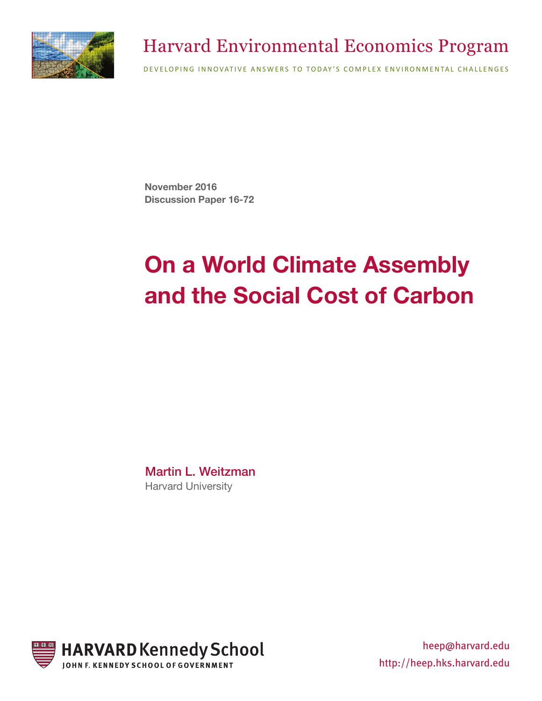

## Harvard Environmental Economics Program

DEVELOPING INNOVATIVE ANSWERS TO TODAY'S COMPLEX ENVIRONMENTAL CHALLENGES

**November 2016 Discussion Paper 16-72**

# **On a World Climate Assembly and the Social Cost of Carbon**

Martin L. Weitzman Harvard University



heep@harvard.edu http://heep.hks.harvard.edu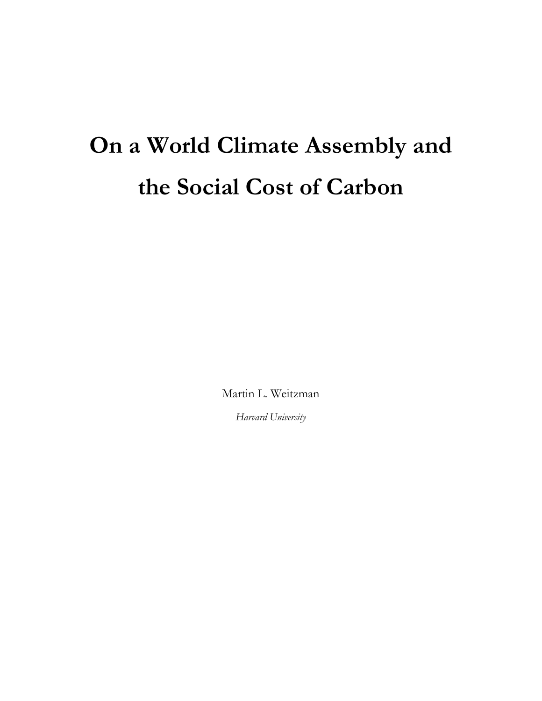# **On a World Climate Assembly and the Social Cost of Carbon**

Martin L. Weitzman

*Harvard University*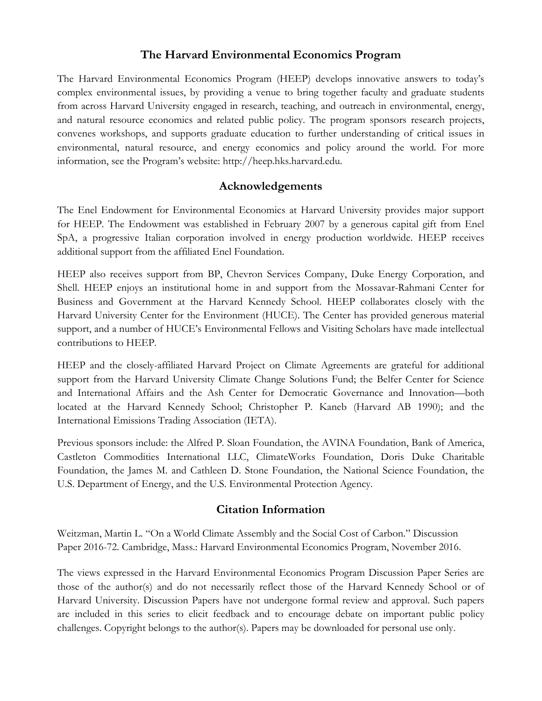#### **The Harvard Environmental Economics Program**

The Harvard Environmental Economics Program (HEEP) develops innovative answers to today's complex environmental issues, by providing a venue to bring together faculty and graduate students from across Harvard University engaged in research, teaching, and outreach in environmental, energy, and natural resource economics and related public policy. The program sponsors research projects, convenes workshops, and supports graduate education to further understanding of critical issues in environmental, natural resource, and energy economics and policy around the world. For more information, see the Program's website: http://heep.hks.harvard.edu.

#### **Acknowledgements**

The Enel Endowment for Environmental Economics at Harvard University provides major support for HEEP. The Endowment was established in February 2007 by a generous capital gift from Enel SpA, a progressive Italian corporation involved in energy production worldwide. HEEP receives additional support from the affiliated Enel Foundation.

HEEP also receives support from BP, Chevron Services Company, Duke Energy Corporation, and Shell. HEEP enjoys an institutional home in and support from the Mossavar-Rahmani Center for Business and Government at the Harvard Kennedy School. HEEP collaborates closely with the Harvard University Center for the Environment (HUCE). The Center has provided generous material support, and a number of HUCE's Environmental Fellows and Visiting Scholars have made intellectual contributions to HEEP.

HEEP and the closely-affiliated Harvard Project on Climate Agreements are grateful for additional support from the Harvard University Climate Change Solutions Fund; the Belfer Center for Science and International Affairs and the Ash Center for Democratic Governance and Innovation—both located at the Harvard Kennedy School; Christopher P. Kaneb (Harvard AB 1990); and the International Emissions Trading Association (IETA).

Previous sponsors include: the Alfred P. Sloan Foundation, the AVINA Foundation, Bank of America, Castleton Commodities International LLC, ClimateWorks Foundation, Doris Duke Charitable Foundation, the James M. and Cathleen D. Stone Foundation, the National Science Foundation, the U.S. Department of Energy, and the U.S. Environmental Protection Agency.

#### **Citation Information**

Weitzman, Martin L. "On a World Climate Assembly and the Social Cost of Carbon." Discussion Paper 2016-72. Cambridge, Mass.: Harvard Environmental Economics Program, November 2016.

The views expressed in the Harvard Environmental Economics Program Discussion Paper Series are those of the author(s) and do not necessarily reflect those of the Harvard Kennedy School or of Harvard University. Discussion Papers have not undergone formal review and approval. Such papers are included in this series to elicit feedback and to encourage debate on important public policy challenges. Copyright belongs to the author(s). Papers may be downloaded for personal use only.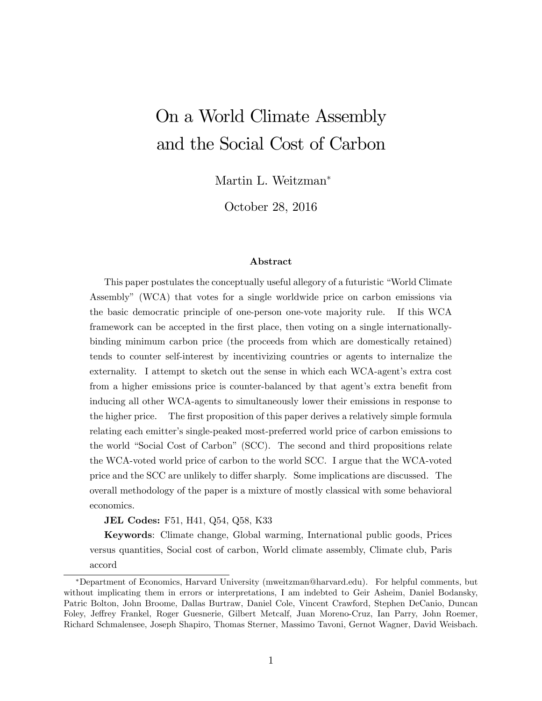## On a World Climate Assembly and the Social Cost of Carbon

Martin L. Weitzman

October 28, 2016

#### Abstract

This paper postulates the conceptually useful allegory of a futuristic "World Climate Assemblyî (WCA) that votes for a single worldwide price on carbon emissions via the basic democratic principle of one-person one-vote majority rule. If this WCA framework can be accepted in the first place, then voting on a single internationallybinding minimum carbon price (the proceeds from which are domestically retained) tends to counter self-interest by incentivizing countries or agents to internalize the externality. I attempt to sketch out the sense in which each WCA-agent's extra cost from a higher emissions price is counter-balanced by that agent's extra benefit from inducing all other WCA-agents to simultaneously lower their emissions in response to the higher price. The first proposition of this paper derives a relatively simple formula relating each emitter's single-peaked most-preferred world price of carbon emissions to the world "Social Cost of Carbon" (SCC). The second and third propositions relate the WCA-voted world price of carbon to the world SCC. I argue that the WCA-voted price and the SCC are unlikely to differ sharply. Some implications are discussed. The overall methodology of the paper is a mixture of mostly classical with some behavioral economics.

JEL Codes: F51, H41, Q54, Q58, K33

Keywords: Climate change, Global warming, International public goods, Prices versus quantities, Social cost of carbon, World climate assembly, Climate club, Paris accord

Department of Economics, Harvard University (mweitzman@harvard.edu). For helpful comments, but without implicating them in errors or interpretations, I am indebted to Geir Asheim, Daniel Bodansky, Patric Bolton, John Broome, Dallas Burtraw, Daniel Cole, Vincent Crawford, Stephen DeCanio, Duncan Foley, Jeffrey Frankel, Roger Guesnerie, Gilbert Metcalf, Juan Moreno-Cruz, Ian Parry, John Roemer, Richard Schmalensee, Joseph Shapiro, Thomas Sterner, Massimo Tavoni, Gernot Wagner, David Weisbach.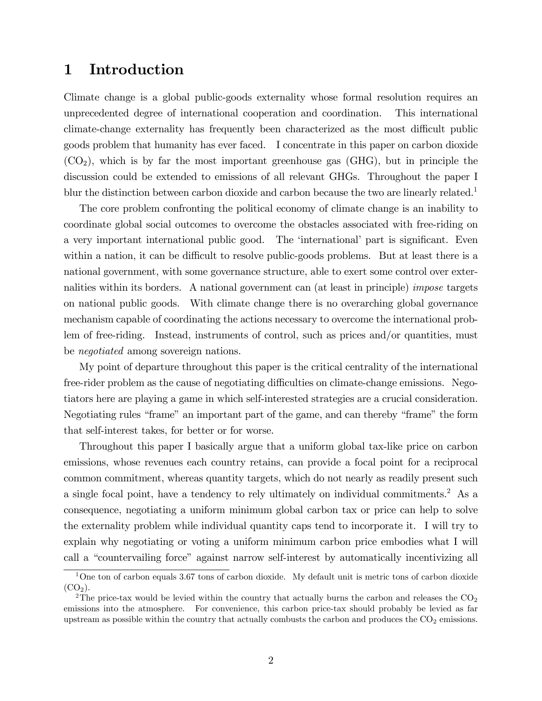#### 1 Introduction

Climate change is a global public-goods externality whose formal resolution requires an unprecedented degree of international cooperation and coordination. This international climate-change externality has frequently been characterized as the most difficult public goods problem that humanity has ever faced. I concentrate in this paper on carbon dioxide  $(CO<sub>2</sub>)$ , which is by far the most important greenhouse gas  $(GHG)$ , but in principle the discussion could be extended to emissions of all relevant GHGs. Throughout the paper I blur the distinction between carbon dioxide and carbon because the two are linearly related.<sup>1</sup>

The core problem confronting the political economy of climate change is an inability to coordinate global social outcomes to overcome the obstacles associated with free-riding on a very important international public good. The 'international' part is significant. Even within a nation, it can be difficult to resolve public-goods problems. But at least there is a national government, with some governance structure, able to exert some control over externalities within its borders. A national government can (at least in principle) impose targets on national public goods. With climate change there is no overarching global governance mechanism capable of coordinating the actions necessary to overcome the international problem of free-riding. Instead, instruments of control, such as prices and/or quantities, must be negotiated among sovereign nations.

My point of departure throughout this paper is the critical centrality of the international free-rider problem as the cause of negotiating difficulties on climate-change emissions. Negotiators here are playing a game in which self-interested strategies are a crucial consideration. Negotiating rules "frame" an important part of the game, and can thereby "frame" the form that self-interest takes, for better or for worse.

Throughout this paper I basically argue that a uniform global tax-like price on carbon emissions, whose revenues each country retains, can provide a focal point for a reciprocal common commitment, whereas quantity targets, which do not nearly as readily present such a single focal point, have a tendency to rely ultimately on individual commitments.<sup>2</sup> As a consequence, negotiating a uniform minimum global carbon tax or price can help to solve the externality problem while individual quantity caps tend to incorporate it. I will try to explain why negotiating or voting a uniform minimum carbon price embodies what I will call a "countervailing force" against narrow self-interest by automatically incentivizing all

 $1$ One ton of carbon equals 3.67 tons of carbon dioxide. My default unit is metric tons of carbon dioxide  $(CO<sub>2</sub>)$ .

<sup>&</sup>lt;sup>2</sup>The price-tax would be levied within the country that actually burns the carbon and releases the  $CO<sub>2</sub>$ emissions into the atmosphere. For convenience, this carbon price-tax should probably be levied as far upstream as possible within the country that actually combusts the carbon and produces the  $CO<sub>2</sub>$  emissions.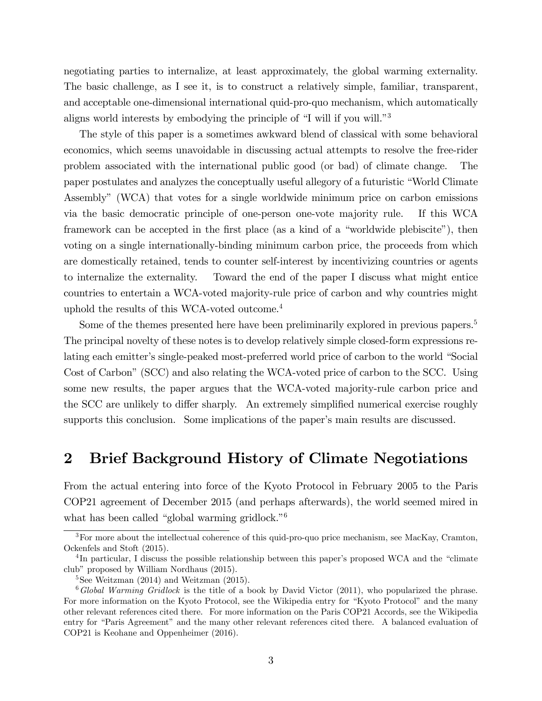negotiating parties to internalize, at least approximately, the global warming externality. The basic challenge, as I see it, is to construct a relatively simple, familiar, transparent, and acceptable one-dimensional international quid-pro-quo mechanism, which automatically aligns world interests by embodying the principle of  $\mathrm{``I}$  will if you will. $\mathrm{''}^3$ 

The style of this paper is a sometimes awkward blend of classical with some behavioral economics, which seems unavoidable in discussing actual attempts to resolve the free-rider problem associated with the international public good (or bad) of climate change. The paper postulates and analyzes the conceptually useful allegory of a futuristic "World Climate Assemblyî (WCA) that votes for a single worldwide minimum price on carbon emissions via the basic democratic principle of one-person one-vote majority rule. If this WCA framework can be accepted in the first place (as a kind of a "worldwide plebiscite"), then voting on a single internationally-binding minimum carbon price, the proceeds from which are domestically retained, tends to counter self-interest by incentivizing countries or agents to internalize the externality. Toward the end of the paper I discuss what might entice countries to entertain a WCA-voted majority-rule price of carbon and why countries might uphold the results of this WCA-voted outcome.<sup>4</sup>

Some of the themes presented here have been preliminarily explored in previous papers.<sup>5</sup> The principal novelty of these notes is to develop relatively simple closed-form expressions relating each emitter's single-peaked most-preferred world price of carbon to the world "Social" Cost of Carbon" (SCC) and also relating the WCA-voted price of carbon to the SCC. Using some new results, the paper argues that the WCA-voted majority-rule carbon price and the SCC are unlikely to differ sharply. An extremely simplified numerical exercise roughly supports this conclusion. Some implications of the paper's main results are discussed.

### 2 Brief Background History of Climate Negotiations

From the actual entering into force of the Kyoto Protocol in February 2005 to the Paris COP21 agreement of December 2015 (and perhaps afterwards), the world seemed mired in what has been called "global warming gridlock." $6$ 

<sup>&</sup>lt;sup>3</sup>For more about the intellectual coherence of this quid-pro-quo price mechanism, see MacKay, Cramton, Ockenfels and Stoft (2015).

 ${}^{4}$ In particular, I discuss the possible relationship between this paper's proposed WCA and the "climate clubî proposed by William Nordhaus (2015).

 $5$ See Weitzman (2014) and Weitzman (2015).

 $6\,Global\,Warning\, Gridlock$  is the title of a book by David Victor (2011), who popularized the phrase. For more information on the Kyoto Protocol, see the Wikipedia entry for "Kyoto Protocol" and the many other relevant references cited there. For more information on the Paris COP21 Accords, see the Wikipedia entry for "Paris Agreement" and the many other relevant references cited there. A balanced evaluation of COP21 is Keohane and Oppenheimer (2016).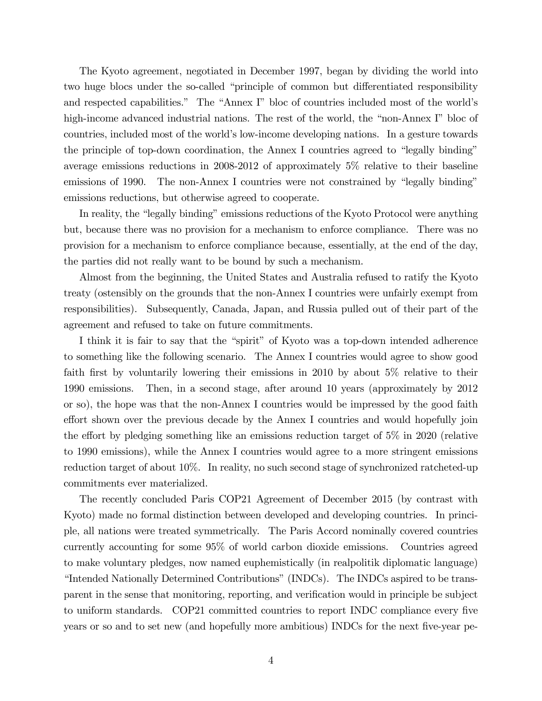The Kyoto agreement, negotiated in December 1997, began by dividing the world into two huge blocs under the so-called "principle of common but differentiated responsibility and respected capabilities." The "Annex I" bloc of countries included most of the world's high-income advanced industrial nations. The rest of the world, the "non-Annex I" bloc of countries, included most of the world's low-income developing nations. In a gesture towards the principle of top-down coordination, the Annex I countries agreed to "legally binding" average emissions reductions in 2008-2012 of approximately 5% relative to their baseline emissions of 1990. The non-Annex I countries were not constrained by "legally binding" emissions reductions, but otherwise agreed to cooperate.

In reality, the "legally binding" emissions reductions of the Kyoto Protocol were anything but, because there was no provision for a mechanism to enforce compliance. There was no provision for a mechanism to enforce compliance because, essentially, at the end of the day, the parties did not really want to be bound by such a mechanism.

Almost from the beginning, the United States and Australia refused to ratify the Kyoto treaty (ostensibly on the grounds that the non-Annex I countries were unfairly exempt from responsibilities). Subsequently, Canada, Japan, and Russia pulled out of their part of the agreement and refused to take on future commitments.

I think it is fair to say that the "spirit" of Kyoto was a top-down intended adherence to something like the following scenario. The Annex I countries would agree to show good faith first by voluntarily lowering their emissions in 2010 by about  $5\%$  relative to their 1990 emissions. Then, in a second stage, after around 10 years (approximately by 2012 or so), the hope was that the non-Annex I countries would be impressed by the good faith effort shown over the previous decade by the Annex I countries and would hopefully join the effort by pledging something like an emissions reduction target of  $5\%$  in 2020 (relative to 1990 emissions), while the Annex I countries would agree to a more stringent emissions reduction target of about 10%. In reality, no such second stage of synchronized ratcheted-up commitments ever materialized.

The recently concluded Paris COP21 Agreement of December 2015 (by contrast with Kyoto) made no formal distinction between developed and developing countries. In principle, all nations were treated symmetrically. The Paris Accord nominally covered countries currently accounting for some 95% of world carbon dioxide emissions. Countries agreed to make voluntary pledges, now named euphemistically (in realpolitik diplomatic language) "Intended Nationally Determined Contributions" (INDCs). The INDCs aspired to be transparent in the sense that monitoring, reporting, and verification would in principle be subject to uniform standards. COP21 committed countries to report INDC compliance every five years or so and to set new (and hopefully more ambitious) INDCs for the next five-year pe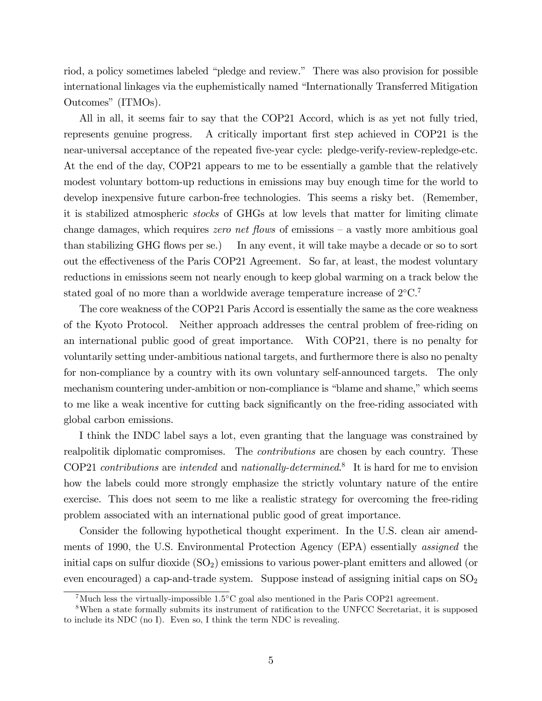riod, a policy sometimes labeled "pledge and review." There was also provision for possible international linkages via the euphemistically named "Internationally Transferred Mitigation Outcomes" (ITMOs).

All in all, it seems fair to say that the COP21 Accord, which is as yet not fully tried, represents genuine progress. A critically important first step achieved in COP21 is the near-universal acceptance of the repeated five-year cycle: pledge-verify-review-repledge-etc. At the end of the day, COP21 appears to me to be essentially a gamble that the relatively modest voluntary bottom-up reductions in emissions may buy enough time for the world to develop inexpensive future carbon-free technologies. This seems a risky bet. (Remember, it is stabilized atmospheric stocks of GHGs at low levels that matter for limiting climate change damages, which requires zero net flows of emissions  $-$  a vastly more ambitious goal than stabilizing GHG flows per se.) In any event, it will take maybe a decade or so to sort out the effectiveness of the Paris COP21 Agreement. So far, at least, the modest voluntary reductions in emissions seem not nearly enough to keep global warming on a track below the stated goal of no more than a worldwide average temperature increase of  $2^{\circ}C$ .<sup>7</sup>

The core weakness of the COP21 Paris Accord is essentially the same as the core weakness of the Kyoto Protocol. Neither approach addresses the central problem of free-riding on an international public good of great importance. With COP21, there is no penalty for voluntarily setting under-ambitious national targets, and furthermore there is also no penalty for non-compliance by a country with its own voluntary self-announced targets. The only mechanism countering under-ambition or non-compliance is "blame and shame," which seems to me like a weak incentive for cutting back significantly on the free-riding associated with global carbon emissions.

I think the INDC label says a lot, even granting that the language was constrained by realpolitik diplomatic compromises. The *contributions* are chosen by each country. These COP21 *contributions* are *intended* and *nationally-determined*.<sup>8</sup> It is hard for me to envision how the labels could more strongly emphasize the strictly voluntary nature of the entire exercise. This does not seem to me like a realistic strategy for overcoming the free-riding problem associated with an international public good of great importance.

Consider the following hypothetical thought experiment. In the U.S. clean air amendments of 1990, the U.S. Environmental Protection Agency (EPA) essentially assigned the initial caps on sulfur dioxide  $(SO<sub>2</sub>)$  emissions to various power-plant emitters and allowed (or even encouraged) a cap-and-trade system. Suppose instead of assigning initial caps on  $SO_2$ 

<sup>&</sup>lt;sup>7</sup>Much less the virtually-impossible  $1.5^{\circ}$ C goal also mentioned in the Paris COP21 agreement.

<sup>&</sup>lt;sup>8</sup>When a state formally submits its instrument of ratification to the UNFCC Secretariat, it is supposed to include its NDC (no I). Even so, I think the term NDC is revealing.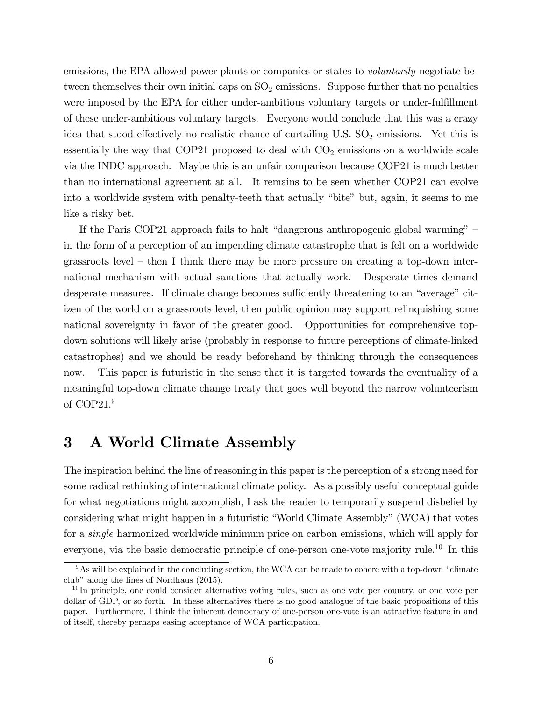emissions, the EPA allowed power plants or companies or states to *voluntarily* negotiate between themselves their own initial caps on  $SO_2$  emissions. Suppose further that no penalties were imposed by the EPA for either under-ambitious voluntary targets or under-fulfillment of these under-ambitious voluntary targets. Everyone would conclude that this was a crazy idea that stood effectively no realistic chance of curtailing U.S.  $SO_2$  emissions. Yet this is essentially the way that COP21 proposed to deal with  $CO<sub>2</sub>$  emissions on a worldwide scale via the INDC approach. Maybe this is an unfair comparison because COP21 is much better than no international agreement at all. It remains to be seen whether COP21 can evolve into a worldwide system with penalty-teeth that actually "bite" but, again, it seems to me like a risky bet.

If the Paris COP21 approach fails to halt "dangerous anthropogenic global warming"  $$ in the form of a perception of an impending climate catastrophe that is felt on a worldwide grassroots level  $-$  then I think there may be more pressure on creating a top-down international mechanism with actual sanctions that actually work. Desperate times demand desperate measures. If climate change becomes sufficiently threatening to an "average" citizen of the world on a grassroots level, then public opinion may support relinquishing some national sovereignty in favor of the greater good. Opportunities for comprehensive topdown solutions will likely arise (probably in response to future perceptions of climate-linked catastrophes) and we should be ready beforehand by thinking through the consequences now. This paper is futuristic in the sense that it is targeted towards the eventuality of a meaningful top-down climate change treaty that goes well beyond the narrow volunteerism of COP21.<sup>9</sup>

#### 3 A World Climate Assembly

The inspiration behind the line of reasoning in this paper is the perception of a strong need for some radical rethinking of international climate policy. As a possibly useful conceptual guide for what negotiations might accomplish, I ask the reader to temporarily suspend disbelief by considering what might happen in a futuristic "World Climate Assembly" (WCA) that votes for a single harmonized worldwide minimum price on carbon emissions, which will apply for everyone, via the basic democratic principle of one-person one-vote majority rule.<sup>10</sup> In this

 $9As$  will be explained in the concluding section, the WCA can be made to cohere with a top-down "climate club" along the lines of Nordhaus  $(2015)$ .

 $10$  In principle, one could consider alternative voting rules, such as one vote per country, or one vote per dollar of GDP, or so forth. In these alternatives there is no good analogue of the basic propositions of this paper. Furthermore, I think the inherent democracy of one-person one-vote is an attractive feature in and of itself, thereby perhaps easing acceptance of WCA participation.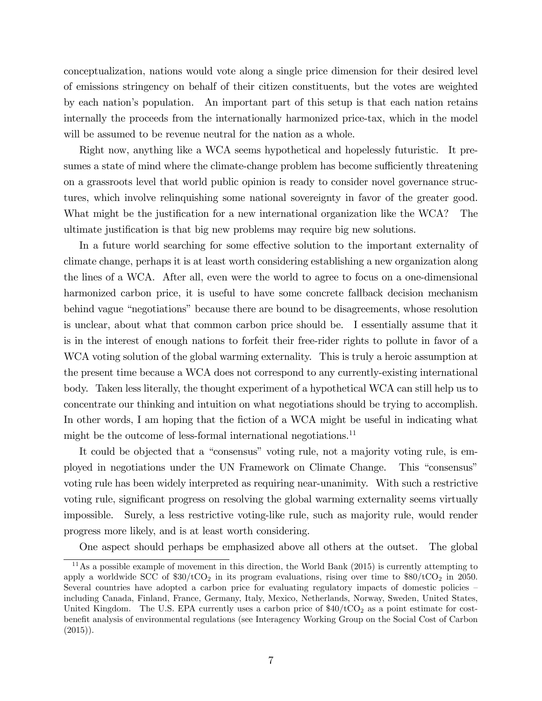conceptualization, nations would vote along a single price dimension for their desired level of emissions stringency on behalf of their citizen constituents, but the votes are weighted by each nation's population. An important part of this setup is that each nation retains internally the proceeds from the internationally harmonized price-tax, which in the model will be assumed to be revenue neutral for the nation as a whole.

Right now, anything like a WCA seems hypothetical and hopelessly futuristic. It presumes a state of mind where the climate-change problem has become sufficiently threatening on a grassroots level that world public opinion is ready to consider novel governance structures, which involve relinquishing some national sovereignty in favor of the greater good. What might be the justification for a new international organization like the WCA? The ultimate justification is that big new problems may require big new solutions.

In a future world searching for some effective solution to the important externality of climate change, perhaps it is at least worth considering establishing a new organization along the lines of a WCA. After all, even were the world to agree to focus on a one-dimensional harmonized carbon price, it is useful to have some concrete fallback decision mechanism behind vague "negotiations" because there are bound to be disagreements, whose resolution is unclear, about what that common carbon price should be. I essentially assume that it is in the interest of enough nations to forfeit their free-rider rights to pollute in favor of a WCA voting solution of the global warming externality. This is truly a heroic assumption at the present time because a WCA does not correspond to any currently-existing international body. Taken less literally, the thought experiment of a hypothetical WCA can still help us to concentrate our thinking and intuition on what negotiations should be trying to accomplish. In other words, I am hoping that the fiction of a WCA might be useful in indicating what might be the outcome of less-formal international negotiations.<sup>11</sup>

It could be objected that a "consensus" voting rule, not a majority voting rule, is employed in negotiations under the UN Framework on Climate Change. This "consensus" voting rule has been widely interpreted as requiring near-unanimity. With such a restrictive voting rule, significant progress on resolving the global warming externality seems virtually impossible. Surely, a less restrictive voting-like rule, such as majority rule, would render progress more likely, and is at least worth considering.

One aspect should perhaps be emphasized above all others at the outset. The global

 $11\,\text{As}$  a possible example of movement in this direction, the World Bank (2015) is currently attempting to apply a worldwide SCC of  $$30/tCO<sub>2</sub>$  in its program evaluations, rising over time to  $$80/tCO<sub>2</sub>$  in 2050. Several countries have adopted a carbon price for evaluating regulatory impacts of domestic policies – including Canada, Finland, France, Germany, Italy, Mexico, Netherlands, Norway, Sweden, United States, United Kingdom. The U.S. EPA currently uses a carbon price of  $$40/tCO<sub>2</sub>$  as a point estimate for costbenefit analysis of environmental regulations (see Interagency Working Group on the Social Cost of Carbon  $(2015)$ .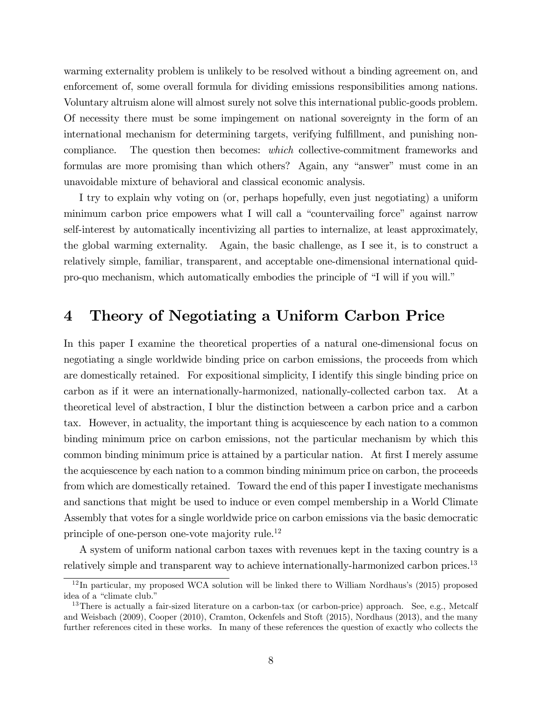warming externality problem is unlikely to be resolved without a binding agreement on, and enforcement of, some overall formula for dividing emissions responsibilities among nations. Voluntary altruism alone will almost surely not solve this international public-goods problem. Of necessity there must be some impingement on national sovereignty in the form of an international mechanism for determining targets, verifying fulfillment, and punishing noncompliance. The question then becomes: which collective-commitment frameworks and formulas are more promising than which others? Again, any "answer" must come in an unavoidable mixture of behavioral and classical economic analysis.

I try to explain why voting on (or, perhaps hopefully, even just negotiating) a uniform minimum carbon price empowers what I will call a "countervailing force" against narrow self-interest by automatically incentivizing all parties to internalize, at least approximately, the global warming externality. Again, the basic challenge, as I see it, is to construct a relatively simple, familiar, transparent, and acceptable one-dimensional international quidpro-quo mechanism, which automatically embodies the principle of "I will if you will."

#### 4 Theory of Negotiating a Uniform Carbon Price

In this paper I examine the theoretical properties of a natural one-dimensional focus on negotiating a single worldwide binding price on carbon emissions, the proceeds from which are domestically retained. For expositional simplicity, I identify this single binding price on carbon as if it were an internationally-harmonized, nationally-collected carbon tax. At a theoretical level of abstraction, I blur the distinction between a carbon price and a carbon tax. However, in actuality, the important thing is acquiescence by each nation to a common binding minimum price on carbon emissions, not the particular mechanism by which this common binding minimum price is attained by a particular nation. At first I merely assume the acquiescence by each nation to a common binding minimum price on carbon, the proceeds from which are domestically retained. Toward the end of this paper I investigate mechanisms and sanctions that might be used to induce or even compel membership in a World Climate Assembly that votes for a single worldwide price on carbon emissions via the basic democratic principle of one-person one-vote majority rule.<sup>12</sup>

A system of uniform national carbon taxes with revenues kept in the taxing country is a relatively simple and transparent way to achieve internationally-harmonized carbon prices.<sup>13</sup>

 $12$ In particular, my proposed WCA solution will be linked there to William Nordhaus's (2015) proposed idea of a "climate club."

<sup>&</sup>lt;sup>13</sup>There is actually a fair-sized literature on a carbon-tax (or carbon-price) approach. See, e.g., Metcalf and Weisbach (2009), Cooper (2010), Cramton, Ockenfels and Stoft (2015), Nordhaus (2013), and the many further references cited in these works. In many of these references the question of exactly who collects the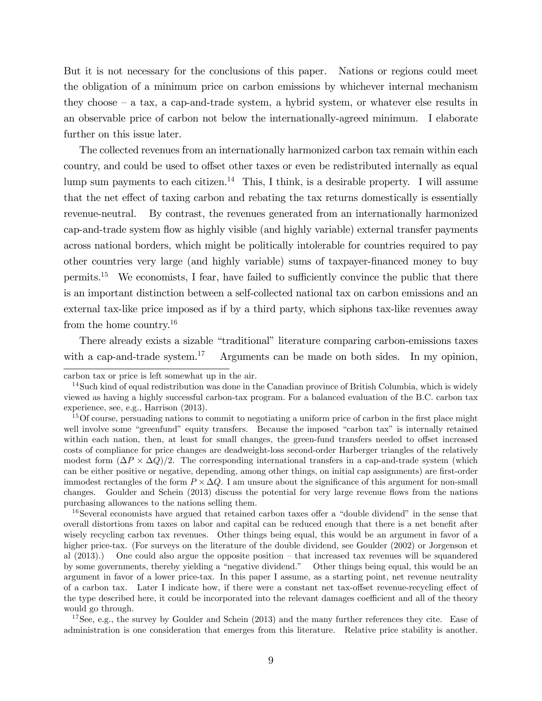But it is not necessary for the conclusions of this paper. Nations or regions could meet the obligation of a minimum price on carbon emissions by whichever internal mechanism they choose  $-$  a tax, a cap-and-trade system, a hybrid system, or whatever else results in an observable price of carbon not below the internationally-agreed minimum. I elaborate further on this issue later.

The collected revenues from an internationally harmonized carbon tax remain within each country, and could be used to offset other taxes or even be redistributed internally as equal lump sum payments to each citizen.<sup>14</sup> This, I think, is a desirable property. I will assume that the net effect of taxing carbon and rebating the tax returns domestically is essentially revenue-neutral. By contrast, the revenues generated from an internationally harmonized cap-and-trade system áow as highly visible (and highly variable) external transfer payments across national borders, which might be politically intolerable for countries required to pay other countries very large (and highly variable) sums of taxpayer-Önanced money to buy permits.<sup>15</sup> We economists, I fear, have failed to sufficiently convince the public that there is an important distinction between a self-collected national tax on carbon emissions and an external tax-like price imposed as if by a third party, which siphons tax-like revenues away from the home country.<sup>16</sup>

There already exists a sizable "traditional" literature comparing carbon-emissions taxes with a cap-and-trade system.<sup>17</sup> Arguments can be made on both sides. In my opinion,

 $16$ Several economists have argued that retained carbon taxes offer a "double dividend" in the sense that overall distortions from taxes on labor and capital can be reduced enough that there is a net benefit after wisely recycling carbon tax revenues. Other things being equal, this would be an argument in favor of a higher price-tax. (For surveys on the literature of the double dividend, see Goulder (2002) or Jorgenson et al  $(2013)$ .) One could also argue the opposite position – that increased tax revenues will be squandered by some governments, thereby yielding a "negative dividend." Other things being equal, this would be an argument in favor of a lower price-tax. In this paper I assume, as a starting point, net revenue neutrality of a carbon tax. Later I indicate how, if there were a constant net tax-offset revenue-recycling effect of the type described here, it could be incorporated into the relevant damages coefficient and all of the theory would go through.

<sup>17</sup>See, e.g., the survey by Goulder and Schein (2013) and the many further references they cite. Ease of administration is one consideration that emerges from this literature. Relative price stability is another.

carbon tax or price is left somewhat up in the air.

 $14$ Such kind of equal redistribution was done in the Canadian province of British Columbia, which is widely viewed as having a highly successful carbon-tax program. For a balanced evaluation of the B.C. carbon tax experience, see, e.g., Harrison (2013).

 $15$  Of course, persuading nations to commit to negotiating a uniform price of carbon in the first place might well involve some "greenfund" equity transfers. Because the imposed "carbon tax" is internally retained within each nation, then, at least for small changes, the green-fund transfers needed to offset increased costs of compliance for price changes are deadweight-loss second-order Harberger triangles of the relatively modest form  $(\Delta P \times \Delta Q)/2$ . The corresponding international transfers in a cap-and-trade system (which can be either positive or negative, depending, among other things, on initial cap assignments) are first-order immodest rectangles of the form  $P \times \Delta Q$ . I am unsure about the significance of this argument for non-small changes. Goulder and Schein (2013) discuss the potential for very large revenue flows from the nations purchasing allowances to the nations selling them.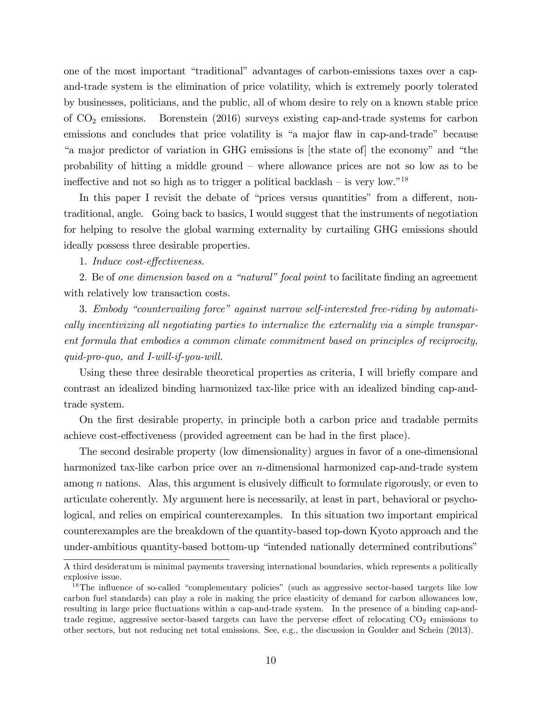one of the most important "traditional" advantages of carbon-emissions taxes over a capand-trade system is the elimination of price volatility, which is extremely poorly tolerated by businesses, politicians, and the public, all of whom desire to rely on a known stable price of  $CO<sub>2</sub>$  emissions. Borenstein (2016) surveys existing cap-and-trade systems for carbon emissions and concludes that price volatility is "a major flaw in cap-and-trade" because "a major predictor of variation in GHG emissions is [the state of] the economy" and "the probability of hitting a middle ground – where allowance prices are not so low as to be ineffective and not so high as to trigger a political backlash – is very low."<sup>18</sup>

In this paper I revisit the debate of "prices versus quantities" from a different, nontraditional, angle. Going back to basics, I would suggest that the instruments of negotiation for helping to resolve the global warming externality by curtailing GHG emissions should ideally possess three desirable properties.

1. Induce cost-effectiveness.

2. Be of one dimension based on a "natural" focal point to facilitate finding an agreement with relatively low transaction costs.

3. Embody "countervailing force" against narrow self-interested free-riding by automatically incentivizing all negotiating parties to internalize the externality via a simple transparent formula that embodies a common climate commitment based on principles of reciprocity,  $quid$ -pro-quo, and I-will-if-you-will.

Using these three desirable theoretical properties as criteria, I will briefly compare and contrast an idealized binding harmonized tax-like price with an idealized binding cap-andtrade system.

On the first desirable property, in principle both a carbon price and tradable permits achieve cost-effectiveness (provided agreement can be had in the first place).

The second desirable property (low dimensionality) argues in favor of a one-dimensional harmonized tax-like carbon price over an  $n$ -dimensional harmonized cap-and-trade system among  $n$  nations. Alas, this argument is elusively difficult to formulate rigorously, or even to articulate coherently. My argument here is necessarily, at least in part, behavioral or psychological, and relies on empirical counterexamples. In this situation two important empirical counterexamples are the breakdown of the quantity-based top-down Kyoto approach and the under-ambitious quantity-based bottom-up "intended nationally determined contributions"

A third desideratum is minimal payments traversing international boundaries, which represents a politically explosive issue.

<sup>&</sup>lt;sup>18</sup>The influence of so-called "complementary policies" (such as aggressive sector-based targets like low carbon fuel standards) can play a role in making the price elasticity of demand for carbon allowances low, resulting in large price fluctuations within a cap-and-trade system. In the presence of a binding cap-andtrade regime, aggressive sector-based targets can have the perverse effect of relocating  $CO<sub>2</sub>$  emissions to other sectors, but not reducing net total emissions. See, e.g., the discussion in Goulder and Schein (2013).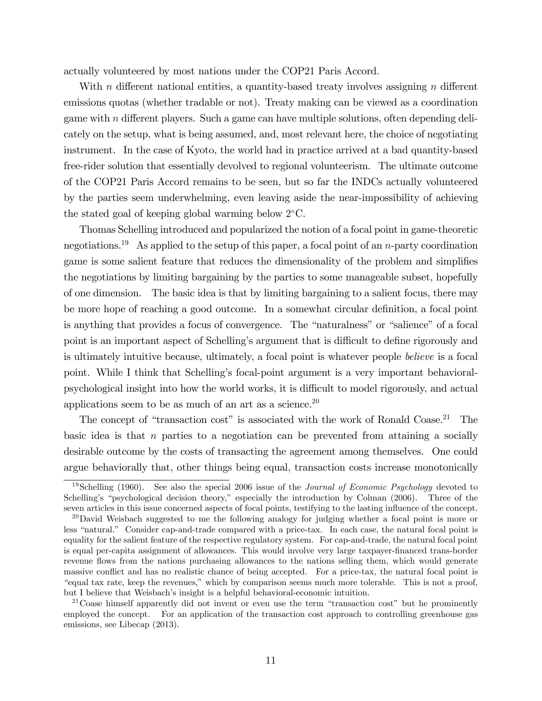actually volunteered by most nations under the COP21 Paris Accord.

With n different national entities, a quantity-based treaty involves assigning n different emissions quotas (whether tradable or not). Treaty making can be viewed as a coordination game with n different players. Such a game can have multiple solutions, often depending delicately on the setup, what is being assumed, and, most relevant here, the choice of negotiating instrument. In the case of Kyoto, the world had in practice arrived at a bad quantity-based free-rider solution that essentially devolved to regional volunteerism. The ultimate outcome of the COP21 Paris Accord remains to be seen, but so far the INDCs actually volunteered by the parties seem underwhelming, even leaving aside the near-impossibility of achieving the stated goal of keeping global warming below 2 C.

Thomas Schelling introduced and popularized the notion of a focal point in game-theoretic negotiations.<sup>19</sup> As applied to the setup of this paper, a focal point of an *n*-party coordination game is some salient feature that reduces the dimensionality of the problem and simplifies the negotiations by limiting bargaining by the parties to some manageable subset, hopefully of one dimension. The basic idea is that by limiting bargaining to a salient focus, there may be more hope of reaching a good outcome. In a somewhat circular definition, a focal point is anything that provides a focus of convergence. The "naturalness" or "salience" of a focal point is an important aspect of Schelling's argument that is difficult to define rigorously and is ultimately intuitive because, ultimately, a focal point is whatever people believe is a focal point. While I think that Schellingís focal-point argument is a very important behavioralpsychological insight into how the world works, it is difficult to model rigorously, and actual applications seem to be as much of an art as a science.<sup>20</sup>

The concept of "transaction cost" is associated with the work of Ronald Coase.<sup>21</sup> The basic idea is that n parties to a negotiation can be prevented from attaining a socially desirable outcome by the costs of transacting the agreement among themselves. One could argue behaviorally that, other things being equal, transaction costs increase monotonically

<sup>21</sup> Coase himself apparently did not invent or even use the term "transaction cost" but he prominently employed the concept. For an application of the transaction cost approach to controlling greenhouse gas emissions, see Libecap (2013).

<sup>&</sup>lt;sup>19</sup>Schelling (1960). See also the special 2006 issue of the *Journal of Economic Psychology* devoted to Schelling's "psychological decision theory," especially the introduction by Colman  $(2006)$ . Three of the seven articles in this issue concerned aspects of focal points, testifying to the lasting ináuence of the concept.

 $^{20}$ David Weisbach suggested to me the following analogy for judging whether a focal point is more or less "natural." Consider cap-and-trade compared with a price-tax. In each case, the natural focal point is equality for the salient feature of the respective regulatory system. For cap-and-trade, the natural focal point is equal per-capita assignment of allowances. This would involve very large taxpayer-financed trans-border revenue flows from the nations purchasing allowances to the nations selling them, which would generate massive conflict and has no realistic chance of being accepted. For a price-tax, the natural focal point is ìequal tax rate, keep the revenues,îwhich by comparison seems much more tolerable. This is not a proof, but I believe that Weisbach's insight is a helpful behavioral-economic intuition.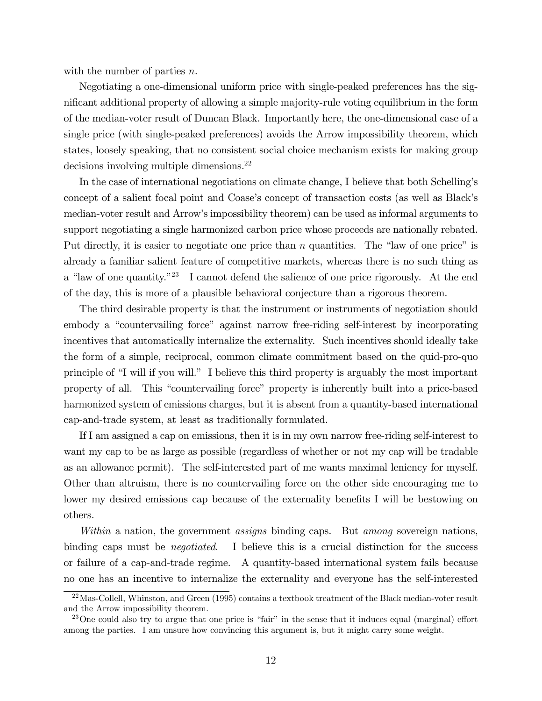with the number of parties *n*.

Negotiating a one-dimensional uniform price with single-peaked preferences has the significant additional property of allowing a simple majority-rule voting equilibrium in the form of the median-voter result of Duncan Black. Importantly here, the one-dimensional case of a single price (with single-peaked preferences) avoids the Arrow impossibility theorem, which states, loosely speaking, that no consistent social choice mechanism exists for making group decisions involving multiple dimensions.<sup>22</sup>

In the case of international negotiations on climate change, I believe that both Schellingís concept of a salient focal point and Coase's concept of transaction costs (as well as Black's median-voter result and Arrowís impossibility theorem) can be used as informal arguments to support negotiating a single harmonized carbon price whose proceeds are nationally rebated. Put directly, it is easier to negotiate one price than  $n$  quantities. The "law of one price" is already a familiar salient feature of competitive markets, whereas there is no such thing as a "law of one quantity."<sup>23</sup> I cannot defend the salience of one price rigorously. At the end of the day, this is more of a plausible behavioral conjecture than a rigorous theorem.

The third desirable property is that the instrument or instruments of negotiation should embody a "countervailing force" against narrow free-riding self-interest by incorporating incentives that automatically internalize the externality. Such incentives should ideally take the form of a simple, reciprocal, common climate commitment based on the quid-pro-quo principle of "I will if you will." I believe this third property is arguably the most important property of all. This "countervailing force" property is inherently built into a price-based harmonized system of emissions charges, but it is absent from a quantity-based international cap-and-trade system, at least as traditionally formulated.

If I am assigned a cap on emissions, then it is in my own narrow free-riding self-interest to want my cap to be as large as possible (regardless of whether or not my cap will be tradable as an allowance permit). The self-interested part of me wants maximal leniency for myself. Other than altruism, there is no countervailing force on the other side encouraging me to lower my desired emissions cap because of the externality benefits I will be bestowing on others.

Within a nation, the government assigns binding caps. But among sovereign nations, binding caps must be *negotiated*. I believe this is a crucial distinction for the success or failure of a cap-and-trade regime. A quantity-based international system fails because no one has an incentive to internalize the externality and everyone has the self-interested

<sup>&</sup>lt;sup>22</sup>Mas-Collell, Whinston, and Green (1995) contains a textbook treatment of the Black median-voter result and the Arrow impossibility theorem.

<sup>&</sup>lt;sup>23</sup>One could also try to argue that one price is "fair" in the sense that it induces equal (marginal) effort among the parties. I am unsure how convincing this argument is, but it might carry some weight.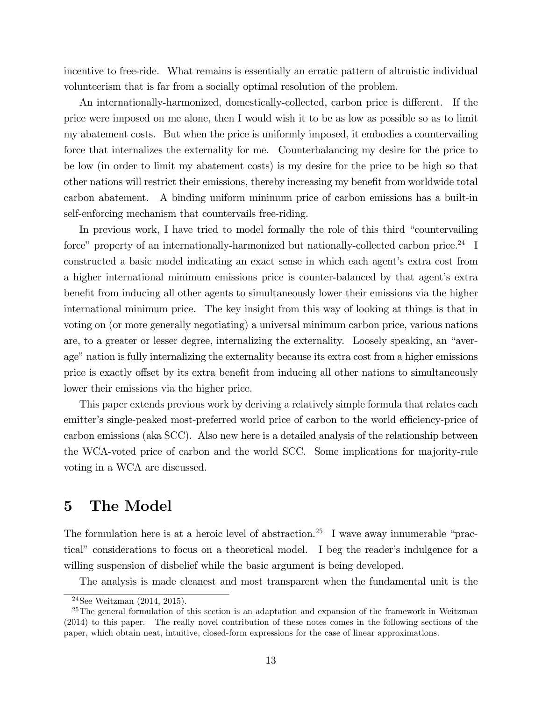incentive to free-ride. What remains is essentially an erratic pattern of altruistic individual volunteerism that is far from a socially optimal resolution of the problem.

An internationally-harmonized, domestically-collected, carbon price is different. If the price were imposed on me alone, then I would wish it to be as low as possible so as to limit my abatement costs. But when the price is uniformly imposed, it embodies a countervailing force that internalizes the externality for me. Counterbalancing my desire for the price to be low (in order to limit my abatement costs) is my desire for the price to be high so that other nations will restrict their emissions, thereby increasing my benefit from worldwide total carbon abatement. A binding uniform minimum price of carbon emissions has a built-in self-enforcing mechanism that countervails free-riding.

In previous work, I have tried to model formally the role of this third "countervailing" force" property of an internationally-harmonized but nationally-collected carbon price.<sup>24</sup> I constructed a basic model indicating an exact sense in which each agent's extra cost from a higher international minimum emissions price is counter-balanced by that agent's extra benefit from inducing all other agents to simultaneously lower their emissions via the higher international minimum price. The key insight from this way of looking at things is that in voting on (or more generally negotiating) a universal minimum carbon price, various nations are, to a greater or lesser degree, internalizing the externality. Loosely speaking, an "average" nation is fully internalizing the externality because its extra cost from a higher emissions price is exactly offset by its extra benefit from inducing all other nations to simultaneously lower their emissions via the higher price.

This paper extends previous work by deriving a relatively simple formula that relates each emitter's single-peaked most-preferred world price of carbon to the world efficiency-price of carbon emissions (aka SCC). Also new here is a detailed analysis of the relationship between the WCA-voted price of carbon and the world SCC. Some implications for majority-rule voting in a WCA are discussed.

### 5 The Model

The formulation here is at a heroic level of abstraction.<sup>25</sup> I wave away innumerable "practical" considerations to focus on a theoretical model. I beg the reader's indulgence for a willing suspension of disbelief while the basic argument is being developed.

The analysis is made cleanest and most transparent when the fundamental unit is the

 $24$ See Weitzman (2014, 2015).

 $^{25}$ The general formulation of this section is an adaptation and expansion of the framework in Weitzman (2014) to this paper. The really novel contribution of these notes comes in the following sections of the paper, which obtain neat, intuitive, closed-form expressions for the case of linear approximations.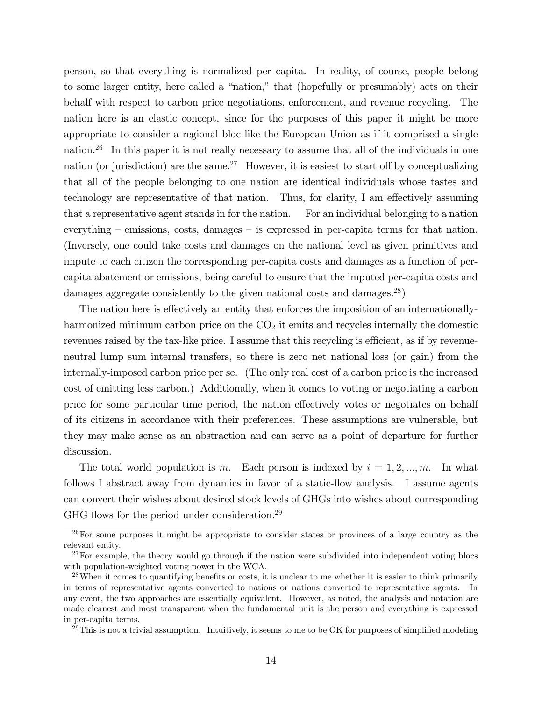person, so that everything is normalized per capita. In reality, of course, people belong to some larger entity, here called a "nation," that (hopefully or presumably) acts on their behalf with respect to carbon price negotiations, enforcement, and revenue recycling. The nation here is an elastic concept, since for the purposes of this paper it might be more appropriate to consider a regional bloc like the European Union as if it comprised a single nation.<sup>26</sup> In this paper it is not really necessary to assume that all of the individuals in one nation (or jurisdiction) are the same.<sup>27</sup> However, it is easiest to start off by conceptualizing that all of the people belonging to one nation are identical individuals whose tastes and technology are representative of that nation. Thus, for clarity, I am effectively assuming that a representative agent stands in for the nation. For an individual belonging to a nation everything  $-$  emissions, costs, damages  $-$  is expressed in per-capita terms for that nation. (Inversely, one could take costs and damages on the national level as given primitives and impute to each citizen the corresponding per-capita costs and damages as a function of percapita abatement or emissions, being careful to ensure that the imputed per-capita costs and damages aggregate consistently to the given national costs and damages.<sup>28</sup>)

The nation here is effectively an entity that enforces the imposition of an internationallyharmonized minimum carbon price on the  $CO<sub>2</sub>$  it emits and recycles internally the domestic revenues raised by the tax-like price. I assume that this recycling is efficient, as if by revenueneutral lump sum internal transfers, so there is zero net national loss (or gain) from the internally-imposed carbon price per se. (The only real cost of a carbon price is the increased cost of emitting less carbon.) Additionally, when it comes to voting or negotiating a carbon price for some particular time period, the nation effectively votes or negotiates on behalf of its citizens in accordance with their preferences. These assumptions are vulnerable, but they may make sense as an abstraction and can serve as a point of departure for further discussion.

The total world population is m. Each person is indexed by  $i = 1, 2, ..., m$ . In what follows I abstract away from dynamics in favor of a static-flow analysis. I assume agents can convert their wishes about desired stock levels of GHGs into wishes about corresponding GHG flows for the period under consideration.<sup>29</sup>

 $26$  For some purposes it might be appropriate to consider states or provinces of a large country as the relevant entity.

 $27$  For example, the theory would go through if the nation were subdivided into independent voting blocs with population-weighted voting power in the WCA.

<sup>&</sup>lt;sup>28</sup>When it comes to quantifying benefits or costs, it is unclear to me whether it is easier to think primarily in terms of representative agents converted to nations or nations converted to representative agents. In any event, the two approaches are essentially equivalent. However, as noted, the analysis and notation are made cleanest and most transparent when the fundamental unit is the person and everything is expressed in per-capita terms.

 $^{29}$ This is not a trivial assumption. Intuitively, it seems to me to be OK for purposes of simplified modeling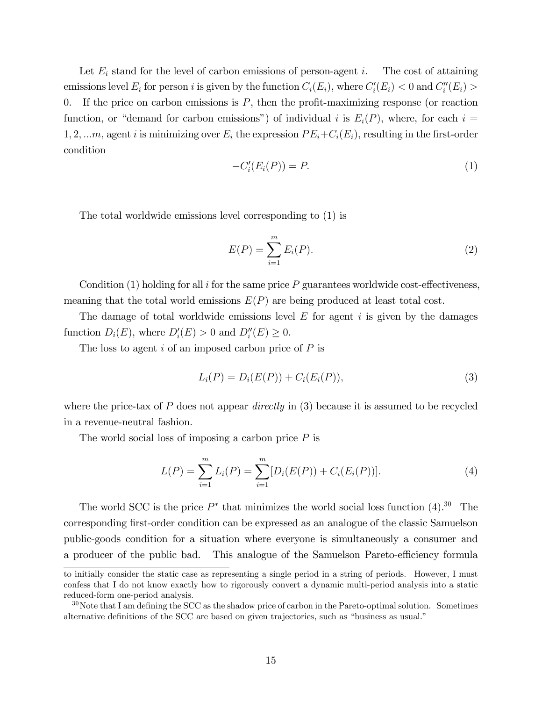Let  $E_i$  stand for the level of carbon emissions of person-agent i. The cost of attaining emissions level  $E_i$  for person i is given by the function  $C_i(E_i)$ , where  $C_i'(E_i) < 0$  and  $C_i''(E_i) >$ 0. If the price on carbon emissions is  $P$ , then the profit-maximizing response (or reaction function, or "demand for carbon emissions") of individual i is  $E_i(P)$ , where, for each i = 1, 2, ...m, agent i is minimizing over  $E_i$  the expression  $PE_i+C_i(E_i)$ , resulting in the first-order condition

$$
-C_i'(E_i(P)) = P.
$$
\n<sup>(1)</sup>

The total worldwide emissions level corresponding to (1) is

$$
E(P) = \sum_{i=1}^{m} E_i(P).
$$
 (2)

Condition (1) holding for all i for the same price  $P$  guarantees worldwide cost-effectiveness, meaning that the total world emissions  $E(P)$  are being produced at least total cost.

The damage of total worldwide emissions level  $E$  for agent  $i$  is given by the damages function  $D_i(E)$ , where  $D_i'(E) > 0$  and  $D_i''(E) \geq 0$ .

The loss to agent  $i$  of an imposed carbon price of  $P$  is

$$
L_i(P) = D_i(E(P)) + C_i(E_i(P)),
$$
\n(3)

where the price-tax of  $P$  does not appear *directly* in (3) because it is assumed to be recycled in a revenue-neutral fashion.

The world social loss of imposing a carbon price  $P$  is

$$
L(P) = \sum_{i=1}^{m} L_i(P) = \sum_{i=1}^{m} [D_i(E(P)) + C_i(E_i(P))].
$$
 (4)

The world SCC is the price  $P^*$  that minimizes the world social loss function (4).<sup>30</sup> The corresponding first-order condition can be expressed as an analogue of the classic Samuelson public-goods condition for a situation where everyone is simultaneously a consumer and a producer of the public bad. This analogue of the Samuelson Pareto-efficiency formula

to initially consider the static case as representing a single period in a string of periods. However, I must confess that I do not know exactly how to rigorously convert a dynamic multi-period analysis into a static reduced-form one-period analysis.

 $30\,\text{Note that I am defining the SCC as the shadow price of carbon in the Pareto-optimal solution. Sometimes$ alternative definitions of the SCC are based on given trajectories, such as "business as usual."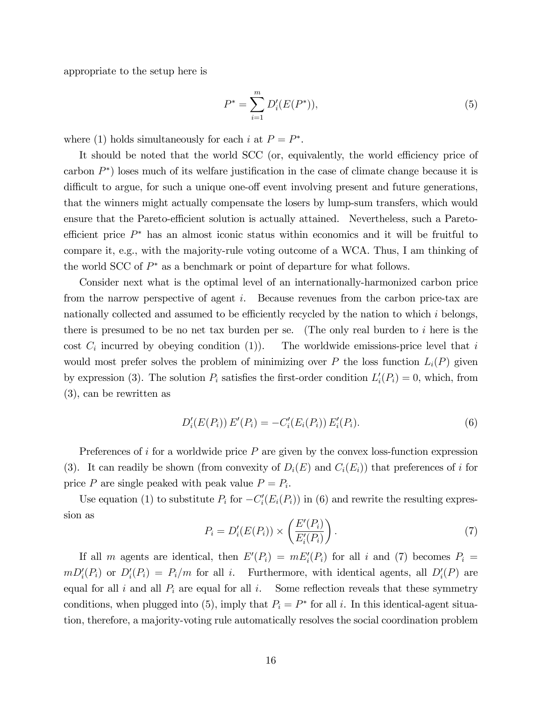appropriate to the setup here is

$$
P^* = \sum_{i=1}^{m} D_i'(E(P^*)),
$$
\n(5)

where (1) holds simultaneously for each i at  $P = P^*$ .

It should be noted that the world SCC (or, equivalently, the world efficiency price of carbon  $P^*$ ) loses much of its welfare justification in the case of climate change because it is difficult to argue, for such a unique one-off event involving present and future generations, that the winners might actually compensate the losers by lump-sum transfers, which would ensure that the Pareto-efficient solution is actually attained. Nevertheless, such a Paretoefficient price  $P^*$  has an almost iconic status within economics and it will be fruitful to compare it, e.g., with the majority-rule voting outcome of a WCA. Thus, I am thinking of the world SCC of  $P^*$  as a benchmark or point of departure for what follows.

Consider next what is the optimal level of an internationally-harmonized carbon price from the narrow perspective of agent i. Because revenues from the carbon price-tax are nationally collected and assumed to be efficiently recycled by the nation to which  $i$  belongs, there is presumed to be no net tax burden per se. (The only real burden to  $i$  here is the cost  $C_i$  incurred by obeying condition (1)). The worldwide emissions-price level that  $i$ would most prefer solves the problem of minimizing over P the loss function  $L_i(P)$  given by expression (3). The solution  $P_i$  satisfies the first-order condition  $L_i'(P_i) = 0$ , which, from (3), can be rewritten as

$$
D'_{i}(E(P_{i})) E'(P_{i}) = -C'_{i}(E_{i}(P_{i})) E'_{i}(P_{i}).
$$
\n(6)

Preferences of i for a worldwide price  $P$  are given by the convex loss-function expression (3). It can readily be shown (from convexity of  $D_i(E)$  and  $C_i(E_i)$ ) that preferences of i for price P are single peaked with peak value  $P = P_i$ .

Use equation (1) to substitute  $P_i$  for  $-C_i'(E_i(P_i))$  in (6) and rewrite the resulting expression as

$$
P_i = D_i'(E(P_i)) \times \left(\frac{E'(P_i)}{E_i'(P_i)}\right). \tag{7}
$$

If all m agents are identical, then  $E'(P_i) = mE'_i(P_i)$  for all i and (7) becomes  $P_i =$  $mD_i'(P_i)$  or  $D_i'(P_i) = P_i/m$  for all i. Furthermore, with identical agents, all  $D_i'(P)$  are equal for all i and all  $P_i$  are equal for all i. Some reflection reveals that these symmetry conditions, when plugged into (5), imply that  $P_i = P^*$  for all i. In this identical-agent situation, therefore, a majority-voting rule automatically resolves the social coordination problem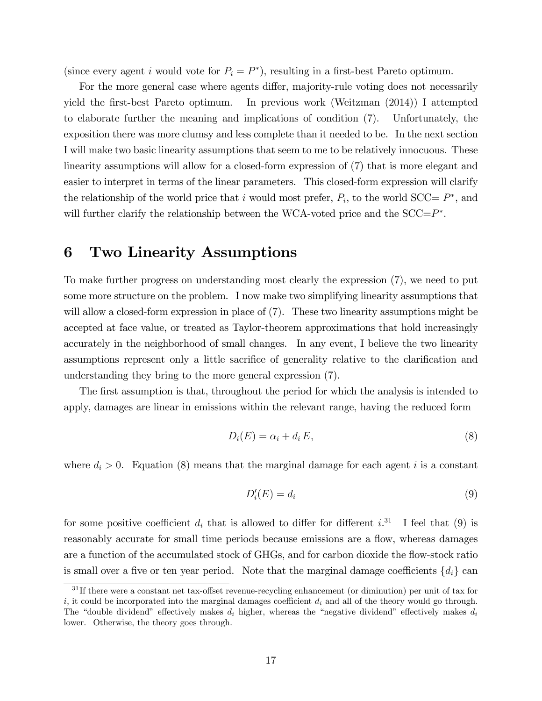(since every agent i would vote for  $P_i = P^*$ ), resulting in a first-best Pareto optimum.

For the more general case where agents differ, majority-rule voting does not necessarily yield the first-best Pareto optimum. In previous work (Weitzman (2014)) I attempted to elaborate further the meaning and implications of condition (7). Unfortunately, the exposition there was more clumsy and less complete than it needed to be. In the next section I will make two basic linearity assumptions that seem to me to be relatively innocuous. These linearity assumptions will allow for a closed-form expression of (7) that is more elegant and easier to interpret in terms of the linear parameters. This closed-form expression will clarify the relationship of the world price that i would most prefer,  $P_i$ , to the world SCC=  $P^*$ , and will further clarify the relationship between the WCA-voted price and the  $SCC = P^*$ .

#### 6 Two Linearity Assumptions

To make further progress on understanding most clearly the expression (7), we need to put some more structure on the problem. I now make two simplifying linearity assumptions that will allow a closed-form expression in place of  $(7)$ . These two linearity assumptions might be accepted at face value, or treated as Taylor-theorem approximations that hold increasingly accurately in the neighborhood of small changes. In any event, I believe the two linearity assumptions represent only a little sacrifice of generality relative to the clarification and understanding they bring to the more general expression (7).

The first assumption is that, throughout the period for which the analysis is intended to apply, damages are linear in emissions within the relevant range, having the reduced form

$$
D_i(E) = \alpha_i + d_i E,\t\t(8)
$$

where  $d_i > 0$ . Equation (8) means that the marginal damage for each agent i is a constant

$$
D_i'(E) = d_i \tag{9}
$$

for some positive coefficient  $d_i$  that is allowed to differ for different i.<sup>31</sup> I feel that (9) is reasonably accurate for small time periods because emissions are a flow, whereas damages are a function of the accumulated stock of GHGs, and for carbon dioxide the flow-stock ratio is small over a five or ten year period. Note that the marginal damage coefficients  $\{d_i\}$  can

 $31$  If there were a constant net tax-offset revenue-recycling enhancement (or diminution) per unit of tax for i, it could be incorporated into the marginal damages coefficient  $d_i$  and all of the theory would go through. The "double dividend" effectively makes  $d_i$  higher, whereas the "negative dividend" effectively makes  $d_i$ lower. Otherwise, the theory goes through.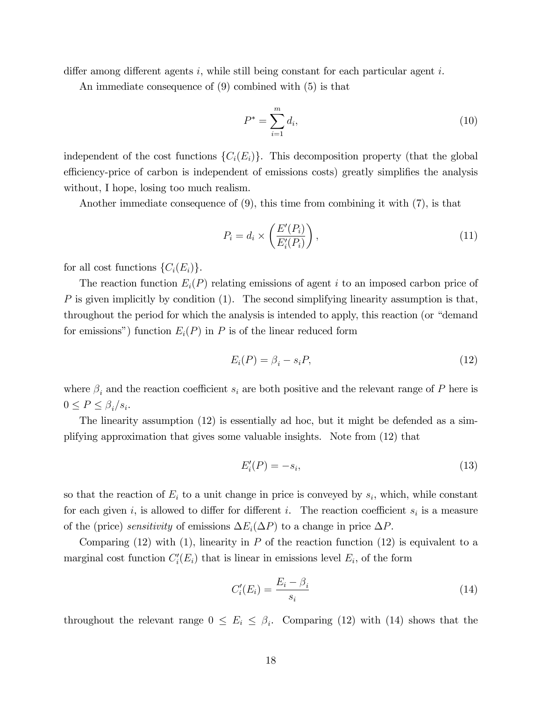differ among different agents i, while still being constant for each particular agent i.

An immediate consequence of (9) combined with (5) is that

$$
P^* = \sum_{i=1}^m d_i,
$$
\n(10)

independent of the cost functions  $\{C_i(E_i)\}\$ . This decomposition property (that the global efficiency-price of carbon is independent of emissions costs) greatly simplifies the analysis without, I hope, losing too much realism.

Another immediate consequence of (9), this time from combining it with (7), is that

$$
P_i = d_i \times \left(\frac{E'(P_i)}{E'_i(P_i)}\right),\tag{11}
$$

for all cost functions  $\{C_i(E_i)\}.$ 

The reaction function  $E_i(P)$  relating emissions of agent i to an imposed carbon price of P is given implicitly by condition  $(1)$ . The second simplifying linearity assumption is that, throughout the period for which the analysis is intended to apply, this reaction (or "demand") for emissions") function  $E_i(P)$  in P is of the linear reduced form

$$
E_i(P) = \beta_i - s_i P,\tag{12}
$$

where  $\beta_i$  and the reaction coefficient  $s_i$  are both positive and the relevant range of P here is  $0 \le P \le \beta_i/s_i.$ 

The linearity assumption (12) is essentially ad hoc, but it might be defended as a simplifying approximation that gives some valuable insights. Note from (12) that

$$
E_i'(P) = -s_i,\tag{13}
$$

so that the reaction of  $E_i$  to a unit change in price is conveyed by  $s_i$ , which, while constant for each given i, is allowed to differ for different i. The reaction coefficient  $s_i$  is a measure of the (price) sensitivity of emissions  $\Delta E_i(\Delta P)$  to a change in price  $\Delta P$ .

Comparing  $(12)$  with  $(1)$ , linearity in P of the reaction function  $(12)$  is equivalent to a marginal cost function  $C_i'(E_i)$  that is linear in emissions level  $E_i$ , of the form

$$
C_i'(E_i) = \frac{E_i - \beta_i}{s_i} \tag{14}
$$

throughout the relevant range  $0 \le E_i \le \beta_i$ . Comparing (12) with (14) shows that the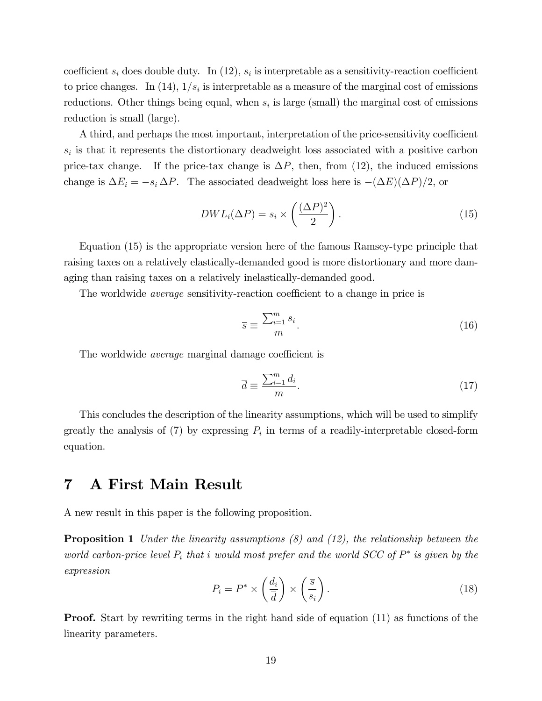coefficient  $s_i$  does double duty. In (12),  $s_i$  is interpretable as a sensitivity-reaction coefficient to price changes. In (14),  $1/s_i$  is interpretable as a measure of the marginal cost of emissions reductions. Other things being equal, when  $s_i$  is large (small) the marginal cost of emissions reduction is small (large).

A third, and perhaps the most important, interpretation of the price-sensitivity coefficient  $s_i$  is that it represents the distortionary deadweight loss associated with a positive carbon price-tax change. If the price-tax change is  $\Delta P$ , then, from (12), the induced emissions change is  $\Delta E_i = -s_i \Delta P$ . The associated deadweight loss here is  $-(\Delta E)(\Delta P)/2$ , or

$$
DWL_i(\Delta P) = s_i \times \left(\frac{(\Delta P)^2}{2}\right). \tag{15}
$$

Equation (15) is the appropriate version here of the famous Ramsey-type principle that raising taxes on a relatively elastically-demanded good is more distortionary and more damaging than raising taxes on a relatively inelastically-demanded good.

The worldwide *average* sensitivity-reaction coefficient to a change in price is

$$
\overline{s} \equiv \frac{\sum_{i=1}^{m} s_i}{m}.
$$
\n(16)

The worldwide *average* marginal damage coefficient is

$$
\overline{d} \equiv \frac{\sum_{i=1}^{m} d_i}{m}.
$$
\n(17)

This concludes the description of the linearity assumptions, which will be used to simplify greatly the analysis of (7) by expressing  $P_i$  in terms of a readily-interpretable closed-form equation.

#### 7 A First Main Result

A new result in this paper is the following proposition.

**Proposition 1** Under the linearity assumptions  $(8)$  and  $(12)$ , the relationship between the world carbon-price level  $P_i$  that i would most prefer and the world SCC of  $P^*$  is given by the expression

$$
P_i = P^* \times \left(\frac{d_i}{\overline{d}}\right) \times \left(\frac{\overline{s}}{s_i}\right). \tag{18}
$$

**Proof.** Start by rewriting terms in the right hand side of equation (11) as functions of the linearity parameters.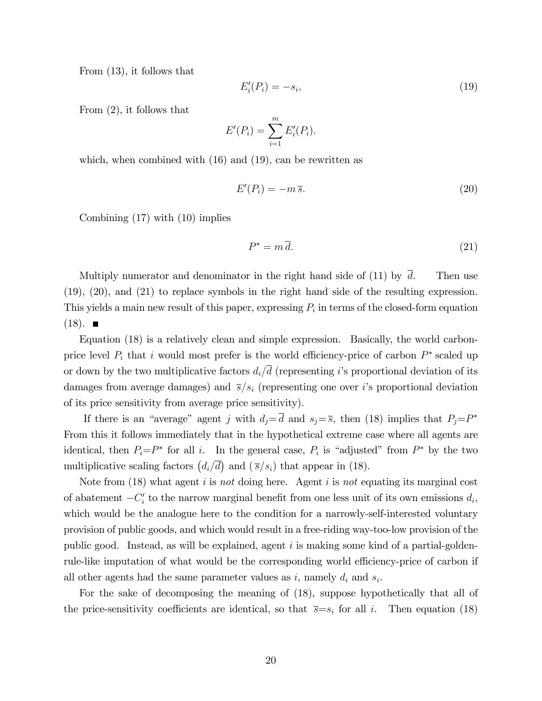From (13), it follows that

$$
E_i'(P_i) = -s_i,\tag{19}
$$

From (2), it follows that

$$
E'(P_i) = \sum_{i=1}^m E'_i(P_i).
$$

which, when combined with  $(16)$  and  $(19)$ , can be rewritten as

$$
E'(P_i) = -m\,\overline{s}.\tag{20}
$$

Combining (17) with (10) implies

$$
P^* = m\,\bar{d}.\tag{21}
$$

Multiply numerator and denominator in the right hand side of (11) by  $\overline{d}$ . Then use (19), (20), and (21) to replace symbols in the right hand side of the resulting expression. This yields a main new result of this paper, expressing  $P_i$  in terms of the closed-form equation  $(18)$ .  $\blacksquare$ 

Equation (18) is a relatively clean and simple expression. Basically, the world carbonprice level  $P_i$  that i would most prefer is the world efficiency-price of carbon  $P^*$  scaled up or down by the two multiplicative factors  $d_i/\overline{d}$  (representing i's proportional deviation of its damages from average damages) and  $\bar{s}/s_i$  (representing one over i's proportional deviation of its price sensitivity from average price sensitivity).

If there is an "average" agent j with  $d_j = d$  and  $s_j = \overline{s}$ , then (18) implies that  $P_j = P^*$ From this it follows immediately that in the hypothetical extreme case where all agents are identical, then  $P_i = P^*$  for all i. In the general case,  $P_i$  is "adjusted" from  $P^*$  by the two multiplicative scaling factors  $(d_i/\overline{d})$  and  $(\overline{s}/s_i)$  that appear in (18).

Note from (18) what agent i is not doing here. Agent i is not equating its marginal cost of abatement  $-C_i'$  to the narrow marginal benefit from one less unit of its own emissions  $d_i$ , which would be the analogue here to the condition for a narrowly-self-interested voluntary provision of public goods, and which would result in a free-riding way-too-low provision of the public good. Instead, as will be explained, agent  $i$  is making some kind of a partial-goldenrule-like imputation of what would be the corresponding world efficiency-price of carbon if all other agents had the same parameter values as  $i$ , namely  $d_i$  and  $s_i$ .

For the sake of decomposing the meaning of (18), suppose hypothetically that all of the price-sensitivity coefficients are identical, so that  $\bar{s}=s_i$  for all i. Then equation (18)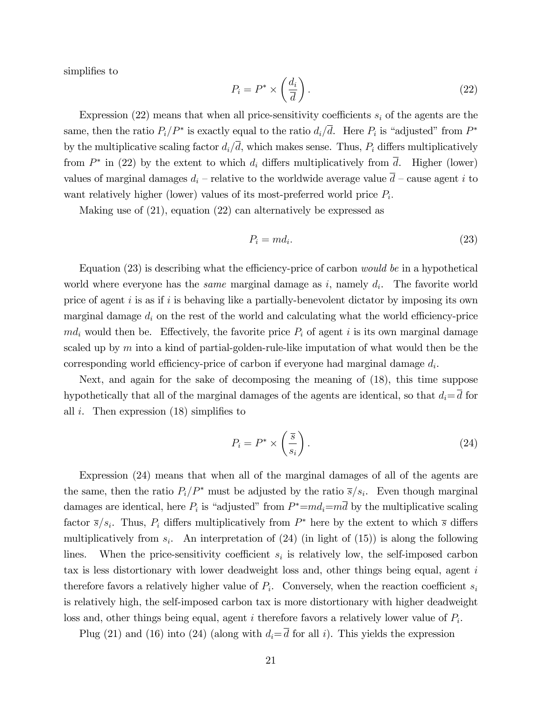simplifies to

$$
P_i = P^* \times \left(\frac{d_i}{\overline{d}}\right). \tag{22}
$$

Expression (22) means that when all price-sensitivity coefficients  $s_i$  of the agents are the same, then the ratio  $P_i/P^*$  is exactly equal to the ratio  $d_i/d$ . Here  $P_i$  is "adjusted" from  $P^*$ by the multiplicative scaling factor  $d_i/\overline{d}$ , which makes sense. Thus,  $P_i$  differs multiplicatively from  $P^*$  in (22) by the extent to which  $d_i$  differs multiplicatively from d. Higher (lower) values of marginal damages  $d_i$  – relative to the worldwide average value  $\overline{d}$  – cause agent i to want relatively higher (lower) values of its most-preferred world price  $P_i$ .

Making use of (21), equation (22) can alternatively be expressed as

$$
P_i = m d_i. \tag{23}
$$

Equation  $(23)$  is describing what the efficiency-price of carbon would be in a hypothetical world where everyone has the *same* marginal damage as  $i$ , namely  $d_i$ . The favorite world price of agent  $i$  is as if  $i$  is behaving like a partially-benevolent dictator by imposing its own marginal damage  $d_i$  on the rest of the world and calculating what the world efficiency-price  $md_i$  would then be. Effectively, the favorite price  $P_i$  of agent i is its own marginal damage scaled up by  $m$  into a kind of partial-golden-rule-like imputation of what would then be the corresponding world efficiency-price of carbon if everyone had marginal damage  $d_i$ .

Next, and again for the sake of decomposing the meaning of (18), this time suppose hypothetically that all of the marginal damages of the agents are identical, so that  $d_i = \overline{d}$  for all i. Then expression  $(18)$  simplifies to

$$
P_i = P^* \times \left(\frac{\overline{s}}{s_i}\right). \tag{24}
$$

Expression (24) means that when all of the marginal damages of all of the agents are the same, then the ratio  $P_i/P^*$  must be adjusted by the ratio  $\overline{s}/s_i$ . Even though marginal damages are identical, here  $P_i$  is "adjusted" from  $P^* = md_i = md$  by the multiplicative scaling factor  $\bar{s}/s_i$ . Thus,  $P_i$  differs multiplicatively from  $P^*$  here by the extent to which  $\bar{s}$  differs multiplicatively from  $s_i$ . An interpretation of (24) (in light of (15)) is along the following lines. When the price-sensitivity coefficient  $s_i$  is relatively low, the self-imposed carbon tax is less distortionary with lower deadweight loss and, other things being equal, agent  $i$ therefore favors a relatively higher value of  $P_i$ . Conversely, when the reaction coefficient  $s_i$ is relatively high, the self-imposed carbon tax is more distortionary with higher deadweight loss and, other things being equal, agent i therefore favors a relatively lower value of  $P_i$ .

Plug (21) and (16) into (24) (along with  $d_i = \overline{d}$  for all i). This yields the expression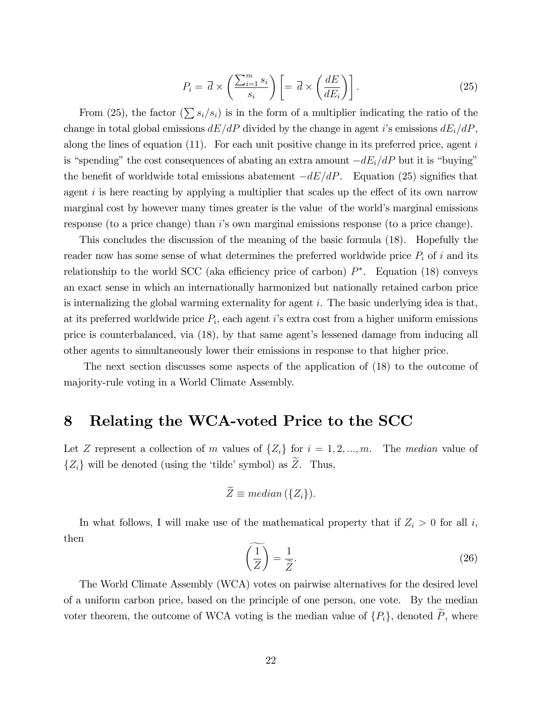$$
P_i = \overline{d} \times \left(\frac{\sum_{i=1}^m s_i}{s_i}\right) \left[ = \overline{d} \times \left(\frac{dE}{dE_i}\right) \right].
$$
 (25)

From (25), the factor  $(\sum s_i/s_i)$  is in the form of a multiplier indicating the ratio of the change in total global emissions  $dE/dP$  divided by the change in agent i's emissions  $dE_i/dP$ . along the lines of equation  $(11)$ . For each unit positive change in its preferred price, agent i is "spending" the cost consequences of abating an extra amount  $-dE_i/dP$  but it is "buying" the benefit of worldwide total emissions abatement  $-dE/dP$ . Equation (25) signifies that agent  $i$  is here reacting by applying a multiplier that scales up the effect of its own narrow marginal cost by however many times greater is the value of the world's marginal emissions response (to a price change) than i's own marginal emissions response (to a price change).

This concludes the discussion of the meaning of the basic formula (18). Hopefully the reader now has some sense of what determines the preferred worldwide price  $P_i$  of i and its relationship to the world SCC (aka efficiency price of carbon)  $P^*$ . Equation (18) conveys an exact sense in which an internationally harmonized but nationally retained carbon price is internalizing the global warming externality for agent  $i$ . The basic underlying idea is that, at its preferred worldwide price  $P_i$ , each agent i's extra cost from a higher uniform emissions price is counterbalanced, via (18), by that same agent's lessened damage from inducing all other agents to simultaneously lower their emissions in response to that higher price.

The next section discusses some aspects of the application of (18) to the outcome of majority-rule voting in a World Climate Assembly.

#### Relating the WCA-voted Price to the SCC 8

Let Z represent a collection of m values of  $\{Z_i\}$  for  $i = 1, 2, ..., m$ . The median value of  $\{Z_i\}$  will be denoted (using the 'tilde' symbol) as  $\tilde{Z}$ . Thus,

$$
\widetilde{Z} \equiv median(\lbrace Z_i \rbrace).
$$

In what follows, I will make use of the mathematical property that if  $Z_i > 0$  for all i, then

$$
\left(\frac{1}{Z}\right) = \frac{1}{\tilde{Z}}.\tag{26}
$$

The World Climate Assembly (WCA) votes on pairwise alternatives for the desired level of a uniform carbon price, based on the principle of one person, one vote. By the median voter theorem, the outcome of WCA voting is the median value of  $\{P_i\}$ , denoted  $\tilde{P}$ , where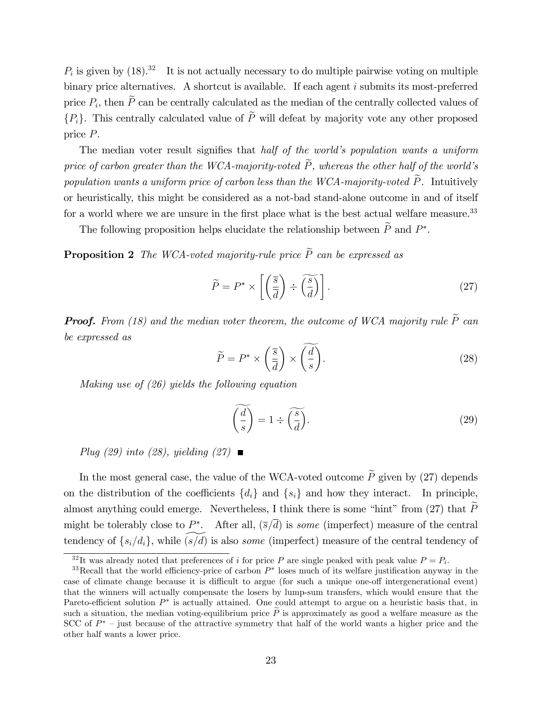$P_i$  is given by  $(18).^{32}$  It is not actually necessary to do multiple pairwise voting on multiple binary price alternatives. A shortcut is available. If each agent i submits its most-preferred price  $P_i$ , then P can be centrally calculated as the median of the centrally collected values of  ${P<sub>i</sub>}$ . This centrally calculated value of  $\widetilde{P}$  will defeat by majority vote any other proposed price P.

The median voter result signifies that half of the world's population wants a uniform price of carbon greater than the WCA-majority-voted  $\tilde{P}$ , whereas the other half of the world's population wants a uniform price of carbon less than the WCA-majority-voted  $\widetilde{P}$ . Intuitively or heuristically, this might be considered as a not-bad stand-alone outcome in and of itself for a world where we are unsure in the first place what is the best actual welfare measure.<sup>33</sup>

The following proposition helps elucidate the relationship between  $P$  and  $P^*$ .

**Proposition 2** The WCA-voted majority-rule price  $\tilde{P}$  can be expressed as

$$
\widetilde{P} = P^* \times \left[ \left( \frac{\overline{s}}{\overline{d}} \right) \div \left( \frac{\widetilde{s}}{d} \right) \right]. \tag{27}
$$

**Proof.** From (18) and the median voter theorem, the outcome of WCA majority rule  $\widetilde{P}$  can be expressed as

$$
\widetilde{P} = P^* \times \left(\frac{\overline{s}}{\overline{d}}\right) \times \left(\frac{\overline{d}}{s}\right). \tag{28}
$$

Making use of (26) yields the following equation

$$
\widetilde{\left(\frac{d}{s}\right)} = 1 \div \widetilde{\left(\frac{s}{d}\right)}.
$$
\n(29)

Plug (29) into (28), yielding (27)  $\blacksquare$ 

In the most general case, the value of the WCA-voted outcome  $\widetilde{P}$  given by (27) depends on the distribution of the coefficients  $\{d_i\}$  and  $\{s_i\}$  and how they interact. In principle, almost anything could emerge. Nevertheless, I think there is some "hint" from (27) that  $\widetilde{P}$ might be tolerably close to  $P^*$ . After all,  $(\bar{s}/d)$  is some (imperfect) measure of the central tendency of  $\{s_i/d_i\}$ , while  $(s/d)$  is also *some* (imperfect) measure of the central tendency of

<sup>&</sup>lt;sup>32</sup>It was already noted that preferences of *i* for price P are single peaked with peak value  $P = P_i$ .

<sup>&</sup>lt;sup>33</sup>Recall that the world efficiency-price of carbon  $P^*$  loses much of its welfare justification anyway in the case of climate change because it is difficult to argue (for such a unique one-off intergenerational event) that the winners will actually compensate the losers by lump-sum transfers, which would ensure that the Pareto-efficient solution  $P^*$  is actually attained. One could attempt to argue on a heuristic basis that, in such a situation, the median voting-equilibrium price  $\tilde{P}$  is approximately as good a welfare measure as the  $SCC$  of  $P^*$  – just because of the attractive symmetry that half of the world wants a higher price and the other half wants a lower price.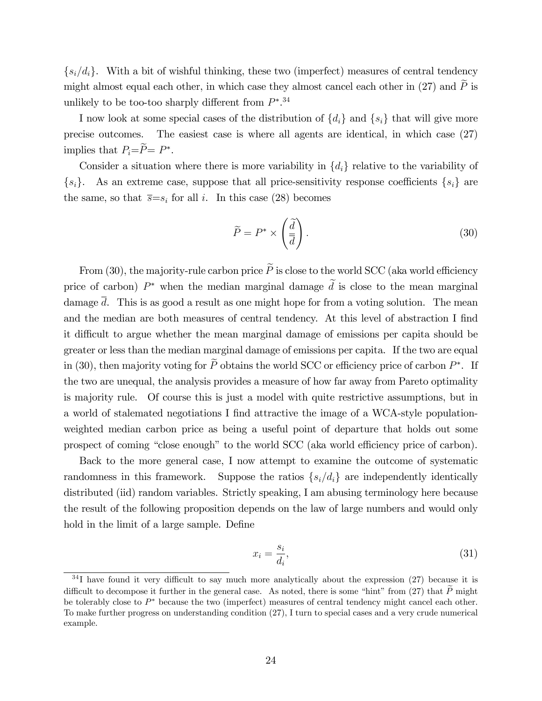$\{s_i/d_i\}$ . With a bit of wishful thinking, these two (imperfect) measures of central tendency might almost equal each other, in which case they almost cancel each other in (27) and  $\widetilde{P}$  is unlikely to be too-too sharply different from  $P^*$ .<sup>34</sup>

I now look at some special cases of the distribution of  $\{d_i\}$  and  $\{s_i\}$  that will give more precise outcomes. The easiest case is where all agents are identical, in which case (27) implies that  $P_i = P = P^*$ .

Consider a situation where there is more variability in  $\{d_i\}$  relative to the variability of  $\{s_i\}$ . As an extreme case, suppose that all price-sensitivity response coefficients  $\{s_i\}$  are the same, so that  $\overline{s}=s_i$  for all i. In this case (28) becomes

$$
\widetilde{P} = P^* \times \left(\frac{\widetilde{d}}{\overline{d}}\right). \tag{30}
$$

From (30), the majority-rule carbon price  $\widetilde{P}$  is close to the world SCC (aka world efficiency price of carbon)  $P^*$  when the median marginal damage d is close to the mean marginal damage  $\overline{d}$ . This is as good a result as one might hope for from a voting solution. The mean and the median are both measures of central tendency. At this level of abstraction I find it difficult to argue whether the mean marginal damage of emissions per capita should be greater or less than the median marginal damage of emissions per capita. If the two are equal in (30), then majority voting for P obtains the world SCC or efficiency price of carbon  $P^*$ . If the two are unequal, the analysis provides a measure of how far away from Pareto optimality is majority rule. Of course this is just a model with quite restrictive assumptions, but in a world of stalemated negotiations I find attractive the image of a WCA-style populationweighted median carbon price as being a useful point of departure that holds out some prospect of coming "close enough" to the world SCC (aka world efficiency price of carbon).

Back to the more general case, I now attempt to examine the outcome of systematic randomness in this framework. Suppose the ratios  $\{s_i/d_i\}$  are independently identically distributed (iid) random variables. Strictly speaking, I am abusing terminology here because the result of the following proposition depends on the law of large numbers and would only hold in the limit of a large sample. Define

$$
x_i = \frac{s_i}{d_i},\tag{31}
$$

 $34$ I have found it very difficult to say much more analytically about the expression (27) because it is difficult to decompose it further in the general case. As noted, there is some "hint" from (27) that  $\widetilde{P}$  might be tolerably close to P because the two (imperfect) measures of central tendency might cancel each other. To make further progress on understanding condition (27), I turn to special cases and a very crude numerical example.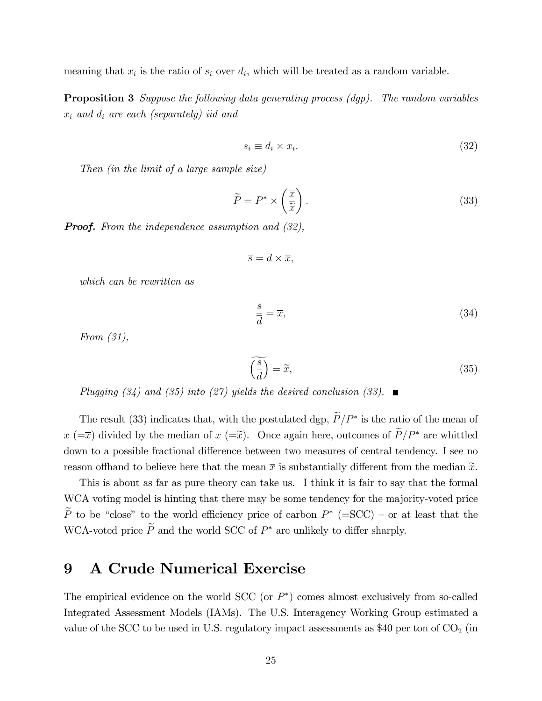meaning that  $x_i$  is the ratio of  $s_i$  over  $d_i$ , which will be treated as a random variable.

**Proposition 3** Suppose the following data generating process (dgp). The random variables  $x_i$  and  $d_i$  are each (separately) iid and

$$
s_i \equiv d_i \times x_i. \tag{32}
$$

Then (in the limit of a large sample size)

$$
\widetilde{P} = P^* \times \left(\frac{\overline{x}}{\widetilde{x}}\right). \tag{33}
$$

**Proof.** From the independence assumption and (32),

$$
\overline{s} = \overline{d} \times \overline{x},
$$

which can be rewritten as

$$
\frac{\overline{s}}{\overline{d}} = \overline{x},\tag{34}
$$

From (31),

$$
\left(\frac{\widetilde{s}}{d}\right) = \widetilde{x},\tag{35}
$$

Plugging (34) and (35) into (27) yields the desired conclusion (33).  $\blacksquare$ 

The result (33) indicates that, with the postulated dgp,  $P/P^*$  is the ratio of the mean of  $x (=x)$  divided by the median of  $x (=x)$ . Once again here, outcomes of  $\widetilde{P}/P^*$  are whittled down to a possible fractional difference between two measures of central tendency. I see no reason of thand to believe here that the mean  $\bar{x}$  is substantially different from the median  $\tilde{x}$ .

This is about as far as pure theory can take us. I think it is fair to say that the formal WCA voting model is hinting that there may be some tendency for the majority-voted price P to be "close" to the world efficiency price of carbon  $P^*$  (=SCC) – or at least that the WCA-voted price  $P$  and the world SCC of  $P^*$  are unlikely to differ sharply.

#### 9 A Crude Numerical Exercise

The empirical evidence on the world SCC (or  $P^*$ ) comes almost exclusively from so-called Integrated Assessment Models (IAMs). The U.S. Interagency Working Group estimated a value of the SCC to be used in U.S. regulatory impact assessments as \$40 per ton of  $CO<sub>2</sub>$  (in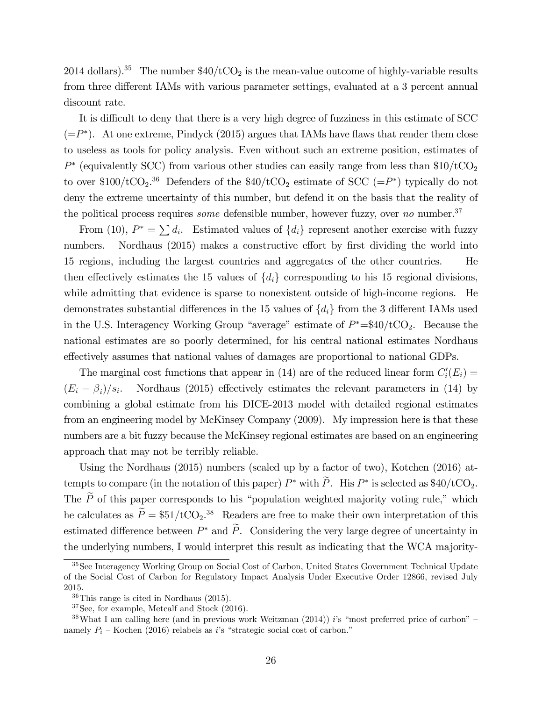2014 dollars).<sup>35</sup> The number  $$40/tCO<sub>2</sub>$  is the mean-value outcome of highly-variable results from three different IAMs with various parameter settings, evaluated at a 3 percent annual discount rate.

It is difficult to deny that there is a very high degree of fuzziness in this estimate of SCC  $(=P^*)$ . At one extreme, Pindyck (2015) argues that IAMs have flaws that render them close to useless as tools for policy analysis. Even without such an extreme position, estimates of  $P^*$  (equivalently SCC) from various other studies can easily range from less than  $$10/tCO<sub>2</sub>$ to over \$100/tCO<sub>2</sub>.<sup>36</sup> Defenders of the \$40/tCO<sub>2</sub> estimate of SCC (= $P^*$ ) typically do not deny the extreme uncertainty of this number, but defend it on the basis that the reality of the political process requires *some* defensible number, however fuzzy, over no number.<sup>37</sup>

From (10),  $P^* = \sum d_i$ . Estimated values of  $\{d_i\}$  represent another exercise with fuzzy numbers. Nordhaus (2015) makes a constructive effort by first dividing the world into 15 regions, including the largest countries and aggregates of the other countries. He then effectively estimates the 15 values of  $\{d_i\}$  corresponding to his 15 regional divisions, while admitting that evidence is sparse to nonexistent outside of high-income regions. He demonstrates substantial differences in the 15 values of  $\{d_i\}$  from the 3 different IAMs used in the U.S. Interagency Working Group "average" estimate of  $P^* = $40/\text{tCO}_2$ . Because the national estimates are so poorly determined, for his central national estimates Nordhaus effectively assumes that national values of damages are proportional to national GDPs.

The marginal cost functions that appear in (14) are of the reduced linear form  $C_i'(E_i) =$  $(E_i-\beta_i)/s_i$ Nordhaus  $(2015)$  effectively estimates the relevant parameters in  $(14)$  by combining a global estimate from his DICE-2013 model with detailed regional estimates from an engineering model by McKinsey Company (2009). My impression here is that these numbers are a bit fuzzy because the McKinsey regional estimates are based on an engineering approach that may not be terribly reliable.

Using the Nordhaus (2015) numbers (scaled up by a factor of two), Kotchen (2016) attempts to compare (in the notation of this paper)  $P^*$  with P. His  $P^*$  is selected as \$40/tCO<sub>2</sub>. The  $\widetilde{P}$  of this paper corresponds to his "population weighted majority voting rule," which he calculates as  $\hat{P} = \$51/\text{tCO}_2.^{38}$  Readers are free to make their own interpretation of this estimated difference between  $P^*$  and P. Considering the very large degree of uncertainty in the underlying numbers, I would interpret this result as indicating that the WCA majority-

<sup>35</sup>See Interagency Working Group on Social Cost of Carbon, United States Government Technical Update of the Social Cost of Carbon for Regulatory Impact Analysis Under Executive Order 12866, revised July 2015.

<sup>36</sup>This range is cited in Nordhaus (2015).

<sup>37</sup>See, for example, Metcalf and Stock (2016).

 $38$ What I am calling here (and in previous work Weitzman (2014)) is "most preferred price of carbon" – namely  $P_i$  – Kochen (2016) relabels as i's "strategic social cost of carbon."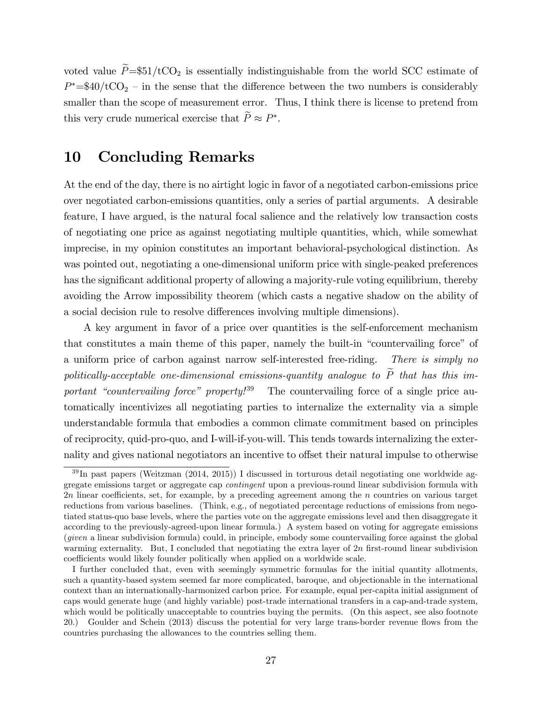voted value  $\tilde{P} = $51/tCO_2$  is essentially indistinguishable from the world SCC estimate of  $P^* = $40/\text{tCO}_2$  – in the sense that the difference between the two numbers is considerably smaller than the scope of measurement error. Thus, I think there is license to pretend from this very crude numerical exercise that  $P \approx P^*$ .

#### 10 Concluding Remarks

At the end of the day, there is no airtight logic in favor of a negotiated carbon-emissions price over negotiated carbon-emissions quantities, only a series of partial arguments. A desirable feature, I have argued, is the natural focal salience and the relatively low transaction costs of negotiating one price as against negotiating multiple quantities, which, while somewhat imprecise, in my opinion constitutes an important behavioral-psychological distinction. As was pointed out, negotiating a one-dimensional uniform price with single-peaked preferences has the significant additional property of allowing a majority-rule voting equilibrium, thereby avoiding the Arrow impossibility theorem (which casts a negative shadow on the ability of a social decision rule to resolve differences involving multiple dimensions).

A key argument in favor of a price over quantities is the self-enforcement mechanism that constitutes a main theme of this paper, namely the built-in "countervailing force" of a uniform price of carbon against narrow self-interested free-riding. There is simply no politically-acceptable one-dimensional emissions-quantity analogue to  $\widetilde{P}$  that has this important "countervailing force" property!<sup>39</sup> The countervailing force of a single price automatically incentivizes all negotiating parties to internalize the externality via a simple understandable formula that embodies a common climate commitment based on principles of reciprocity, quid-pro-quo, and I-will-if-you-will. This tends towards internalizing the externality and gives national negotiators an incentive to offset their natural impulse to otherwise

<sup>39</sup> In past papers (Weitzman (2014, 2015)) I discussed in torturous detail negotiating one worldwide aggregate emissions target or aggregate cap contingent upon a previous-round linear subdivision formula with  $2n$  linear coefficients, set, for example, by a preceding agreement among the n countries on various target reductions from various baselines. (Think, e.g., of negotiated percentage reductions of emissions from negotiated status-quo base levels, where the parties vote on the aggregate emissions level and then disaggregate it according to the previously-agreed-upon linear formula.) A system based on voting for aggregate emissions (given a linear subdivision formula) could, in principle, embody some countervailing force against the global warming externality. But, I concluded that negotiating the extra layer of 2n first-round linear subdivision coefficients would likely founder politically when applied on a worldwide scale.

I further concluded that, even with seemingly symmetric formulas for the initial quantity allotments, such a quantity-based system seemed far more complicated, baroque, and objectionable in the international context than an internationally-harmonized carbon price. For example, equal per-capita initial assignment of caps would generate huge (and highly variable) post-trade international transfers in a cap-and-trade system, which would be politically unacceptable to countries buying the permits. (On this aspect, see also footnote 20.) Goulder and Schein (2013) discuss the potential for very large trans-border revenue áows from the countries purchasing the allowances to the countries selling them.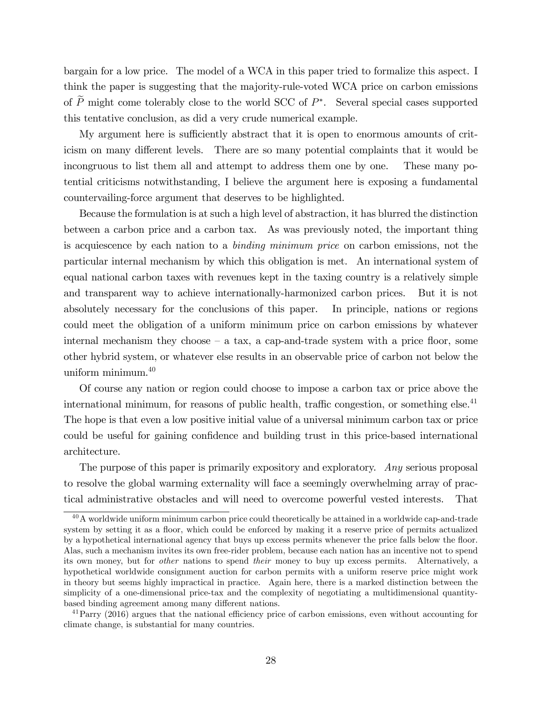bargain for a low price. The model of a WCA in this paper tried to formalize this aspect. I think the paper is suggesting that the majority-rule-voted WCA price on carbon emissions of  $P$  might come tolerably close to the world SCC of  $P^*$ . Several special cases supported this tentative conclusion, as did a very crude numerical example.

My argument here is sufficiently abstract that it is open to enormous amounts of criticism on many different levels. There are so many potential complaints that it would be incongruous to list them all and attempt to address them one by one. These many potential criticisms notwithstanding, I believe the argument here is exposing a fundamental countervailing-force argument that deserves to be highlighted.

Because the formulation is at such a high level of abstraction, it has blurred the distinction between a carbon price and a carbon tax. As was previously noted, the important thing is acquiescence by each nation to a binding minimum price on carbon emissions, not the particular internal mechanism by which this obligation is met. An international system of equal national carbon taxes with revenues kept in the taxing country is a relatively simple and transparent way to achieve internationally-harmonized carbon prices. But it is not absolutely necessary for the conclusions of this paper. In principle, nations or regions could meet the obligation of a uniform minimum price on carbon emissions by whatever internal mechanism they choose  $-$  a tax, a cap-and-trade system with a price floor, some other hybrid system, or whatever else results in an observable price of carbon not below the uniform minimum.<sup>40</sup>

Of course any nation or region could choose to impose a carbon tax or price above the international minimum, for reasons of public health, traffic congestion, or something else.<sup>41</sup> The hope is that even a low positive initial value of a universal minimum carbon tax or price could be useful for gaining confidence and building trust in this price-based international architecture.

The purpose of this paper is primarily expository and exploratory. Any serious proposal to resolve the global warming externality will face a seemingly overwhelming array of practical administrative obstacles and will need to overcome powerful vested interests. That

 $40A$  worldwide uniform minimum carbon price could theoretically be attained in a worldwide cap-and-trade system by setting it as a floor, which could be enforced by making it a reserve price of permits actualized by a hypothetical international agency that buys up excess permits whenever the price falls below the floor. Alas, such a mechanism invites its own free-rider problem, because each nation has an incentive not to spend its own money, but for other nations to spend their money to buy up excess permits. Alternatively, a hypothetical worldwide consignment auction for carbon permits with a uniform reserve price might work in theory but seems highly impractical in practice. Again here, there is a marked distinction between the simplicity of a one-dimensional price-tax and the complexity of negotiating a multidimensional quantitybased binding agreement among many different nations.

 $^{41}$ Parry (2016) argues that the national efficiency price of carbon emissions, even without accounting for climate change, is substantial for many countries.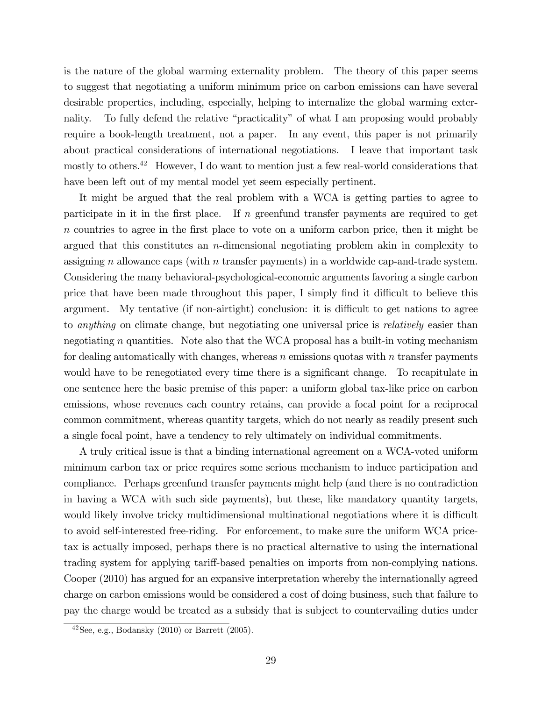is the nature of the global warming externality problem. The theory of this paper seems to suggest that negotiating a uniform minimum price on carbon emissions can have several desirable properties, including, especially, helping to internalize the global warming externality. To fully defend the relative "practicality" of what I am proposing would probably require a book-length treatment, not a paper. In any event, this paper is not primarily about practical considerations of international negotiations. I leave that important task mostly to others.<sup>42</sup> However, I do want to mention just a few real-world considerations that have been left out of my mental model yet seem especially pertinent.

It might be argued that the real problem with a WCA is getting parties to agree to participate in it in the first place. If  $n$  greenfund transfer payments are required to get  $n$  countries to agree in the first place to vote on a uniform carbon price, then it might be argued that this constitutes an  $n$ -dimensional negotiating problem akin in complexity to assigning n allowance caps (with n transfer payments) in a worldwide cap-and-trade system. Considering the many behavioral-psychological-economic arguments favoring a single carbon price that have been made throughout this paper, I simply find it difficult to believe this argument. My tentative  $(f$  non-airtight) conclusion: it is difficult to get nations to agree to *anything* on climate change, but negotiating one universal price is *relatively* easier than negotiating n quantities. Note also that the WCA proposal has a built-in voting mechanism for dealing automatically with changes, whereas  $n$  emissions quotas with  $n$  transfer payments would have to be renegotiated every time there is a significant change. To recapitulate in one sentence here the basic premise of this paper: a uniform global tax-like price on carbon emissions, whose revenues each country retains, can provide a focal point for a reciprocal common commitment, whereas quantity targets, which do not nearly as readily present such a single focal point, have a tendency to rely ultimately on individual commitments.

A truly critical issue is that a binding international agreement on a WCA-voted uniform minimum carbon tax or price requires some serious mechanism to induce participation and compliance. Perhaps greenfund transfer payments might help (and there is no contradiction in having a WCA with such side payments), but these, like mandatory quantity targets, would likely involve tricky multidimensional multinational negotiations where it is difficult to avoid self-interested free-riding. For enforcement, to make sure the uniform WCA pricetax is actually imposed, perhaps there is no practical alternative to using the international trading system for applying tariff-based penalties on imports from non-complying nations. Cooper (2010) has argued for an expansive interpretation whereby the internationally agreed charge on carbon emissions would be considered a cost of doing business, such that failure to pay the charge would be treated as a subsidy that is subject to countervailing duties under

 $42$ See, e.g., Bodansky  $(2010)$  or Barrett  $(2005)$ .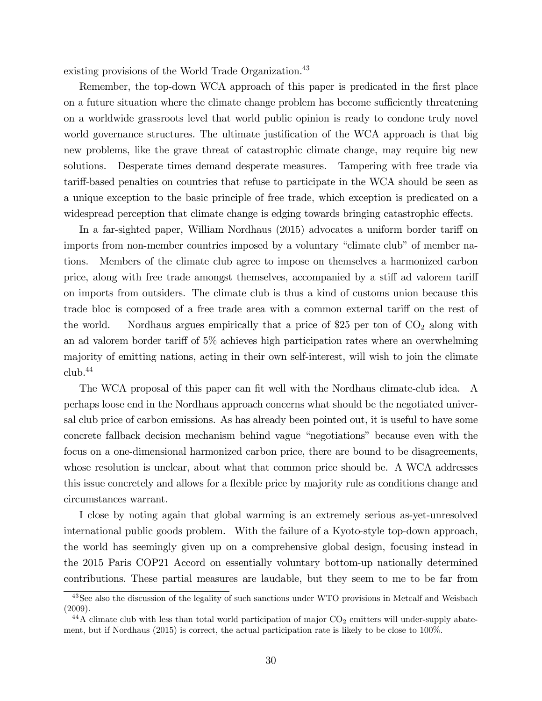existing provisions of the World Trade Organization.<sup>43</sup>

Remember, the top-down WCA approach of this paper is predicated in the first place on a future situation where the climate change problem has become sufficiently threatening on a worldwide grassroots level that world public opinion is ready to condone truly novel world governance structures. The ultimate justification of the WCA approach is that big new problems, like the grave threat of catastrophic climate change, may require big new solutions. Desperate times demand desperate measures. Tampering with free trade via tariff-based penalties on countries that refuse to participate in the WCA should be seen as a unique exception to the basic principle of free trade, which exception is predicated on a widespread perception that climate change is edging towards bringing catastrophic effects.

In a far-sighted paper, William Nordhaus (2015) advocates a uniform border tariff on imports from non-member countries imposed by a voluntary "climate club" of member nations. Members of the climate club agree to impose on themselves a harmonized carbon price, along with free trade amongst themselves, accompanied by a stiff ad valorem tariff on imports from outsiders. The climate club is thus a kind of customs union because this trade bloc is composed of a free trade area with a common external tariff on the rest of the world. Nordhaus argues empirically that a price of \$25 per ton of  $CO<sub>2</sub>$  along with an ad valorem border tariff of  $5\%$  achieves high participation rates where an overwhelming majority of emitting nations, acting in their own self-interest, will wish to join the climate  $\text{club.}^{44}$ 

The WCA proposal of this paper can fit well with the Nordhaus climate-club idea. A perhaps loose end in the Nordhaus approach concerns what should be the negotiated universal club price of carbon emissions. As has already been pointed out, it is useful to have some concrete fallback decision mechanism behind vague "negotiations" because even with the focus on a one-dimensional harmonized carbon price, there are bound to be disagreements, whose resolution is unclear, about what that common price should be. A WCA addresses this issue concretely and allows for a flexible price by majority rule as conditions change and circumstances warrant.

I close by noting again that global warming is an extremely serious as-yet-unresolved international public goods problem. With the failure of a Kyoto-style top-down approach, the world has seemingly given up on a comprehensive global design, focusing instead in the 2015 Paris COP21 Accord on essentially voluntary bottom-up nationally determined contributions. These partial measures are laudable, but they seem to me to be far from

<sup>&</sup>lt;sup>43</sup>See also the discussion of the legality of such sanctions under WTO provisions in Metcalf and Weisbach (2009).

 $^{44}$ A climate club with less than total world participation of major CO<sub>2</sub> emitters will under-supply abatement, but if Nordhaus (2015) is correct, the actual participation rate is likely to be close to 100%.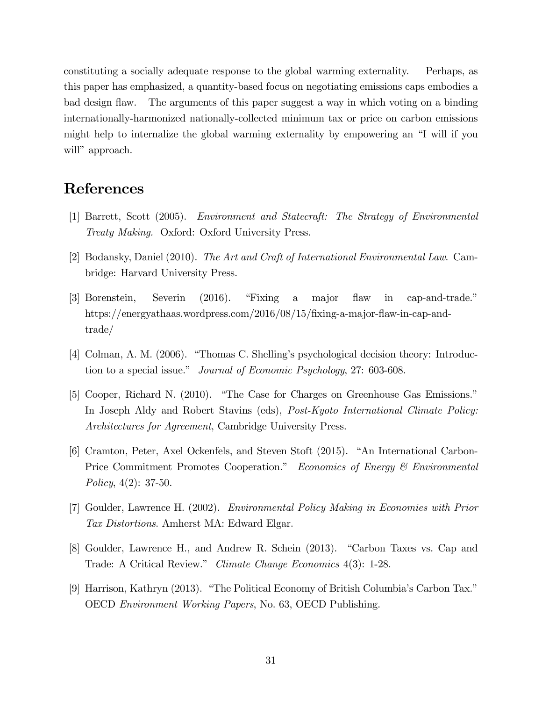constituting a socially adequate response to the global warming externality. Perhaps, as this paper has emphasized, a quantity-based focus on negotiating emissions caps embodies a The arguments of this paper suggest a way in which voting on a binding bad design flaw. internationally-harmonized nationally-collected minimum tax or price on carbon emissions might help to internalize the global warming externality by empowering an "I will if you will" approach.

#### References

- [1] Barrett, Scott (2005). Environment and Statecraft: The Strategy of Environmental Treaty Making. Oxford: Oxford University Press.
- [2] Bodansky, Daniel (2010). The Art and Craft of International Environmental Law. Cambridge: Harvard University Press.
- [3] Borenstein, Severin  $(2016).$ "Fixing" major flaw  $\operatorname{in}$ cap-and-trade."  $\rm a$ https://energyathaas.wordpress.com/2016/08/15/fixing-a-major-flaw-in-cap-and $trade/$
- [4] Colman, A. M. (2006). "Thomas C. Shelling's psychological decision theory: Introduction to a special issue." *Journal of Economic Psychology*, 27: 603-608.
- [5] Cooper, Richard N. (2010). "The Case for Charges on Greenhouse Gas Emissions." In Joseph Aldy and Robert Stavins (eds), *Post-Kyoto International Climate Policy: Architectures for Agreement*, Cambridge University Press.
- [6] Cramton, Peter, Axel Ockenfels, and Steven Stoft (2015). "An International Carbon-Price Commitment Promotes Cooperation." Economics of Energy & Environmental Policy,  $4(2)$ : 37-50.
- [7] Goulder, Lawrence H. (2002). *Environmental Policy Making in Economies with Prior* Tax Distortions. Amherst MA: Edward Elgar.
- [8] Goulder, Lawrence H., and Andrew R. Schein (2013). "Carbon Taxes vs. Cap and Trade: A Critical Review." Climate Change Economics 4(3): 1-28.
- [9] Harrison, Kathryn (2013). "The Political Economy of British Columbia's Carbon Tax." OECD *Environment Working Papers*, No. 63, OECD Publishing.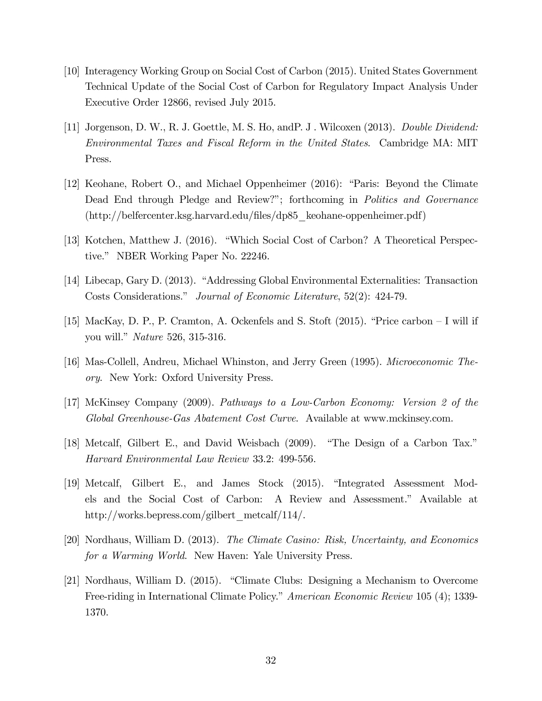- [10] Interagency Working Group on Social Cost of Carbon (2015). United States Government Technical Update of the Social Cost of Carbon for Regulatory Impact Analysis Under Executive Order 12866, revised July 2015.
- [11] Jorgenson, D. W., R. J. Goettle, M. S. Ho, and P. J. Wilcoxen (2013). Double Dividend: *Environmental Taxes and Fiscal Reform in the United States.* Cambridge MA: MIT Press.
- [12] Keohane, Robert O., and Michael Oppenheimer (2016): "Paris: Beyond the Climate Dead End through Pledge and Review?"; forthcoming in *Politics and Governance*  $(\text{http://beliefcenter.ksg.harvard.edu/files/dp85-keohane-oppenheimer.pdf})$
- [13] Kotchen, Matthew J. (2016). "Which Social Cost of Carbon? A Theoretical Perspective." NBER Working Paper No. 22246.
- [14] Libecap, Gary D. (2013). "Addressing Global Environmental Externalities: Transaction Costs Considerations." Journal of Economic Literature, 52(2): 424-79.
- [15] MacKay, D. P., P. Cramton, A. Ockenfels and S. Stoft  $(2015)$ . "Price carbon I will if you will." *Nature* 526, 315-316.
- [16] Mas-Collell, Andreu, Michael Whinston, and Jerry Green (1995). *Microeconomic Theory.* New York: Oxford University Press.
- [17] McKinsey Company (2009). Pathways to a Low-Carbon Economy: Version 2 of the Global Greenhouse-Gas Abatement Cost Curve. Available at www.mckinsey.com.
- [18] Metcalf, Gilbert E., and David Weisbach (2009). "The Design of a Carbon Tax." Harvard Environmental Law Review 33.2: 499-556.
- [19] Metcalf, Gilbert E., and James Stock (2015). "Integrated Assessment Models and the Social Cost of Carbon: A Review and Assessment." Available at http://works.bepress.com/gilbert metcalf/114/.
- [20] Nordhaus, William D. (2013). The Climate Casino: Risk, Uncertainty, and Economics for a Warming World. New Haven: Yale University Press.
- [21] Nordhaus, William D. (2015). "Climate Clubs: Designing a Mechanism to Overcome Free-riding in International Climate Policy." American Economic Review 105 (4); 1339-1370.